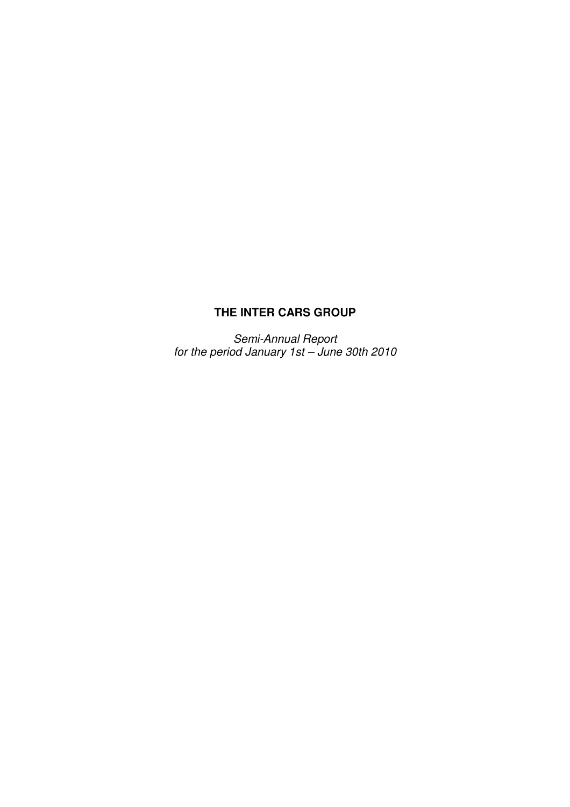# **THE INTER CARS GROUP**

Semi-Annual Report for the period January 1st – June 30th 2010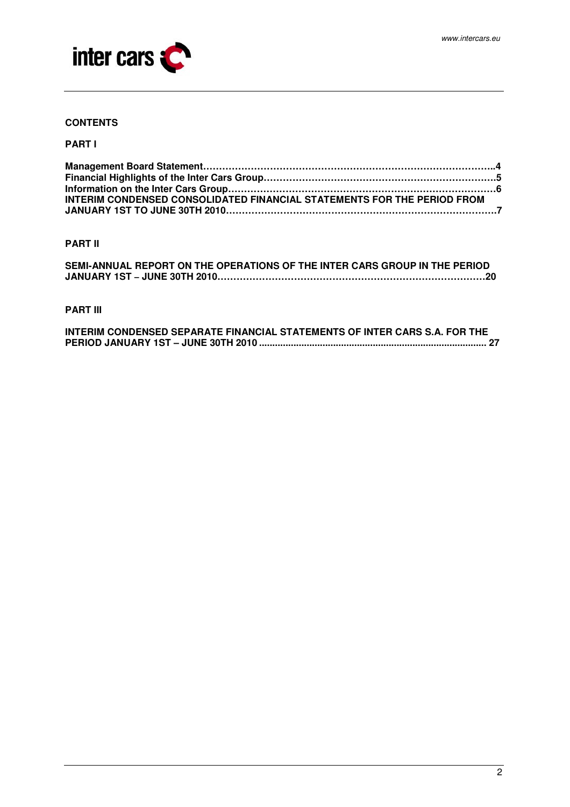

## **CONTENTS**

### **PART I**

| INTERIM CONDENSED CONSOLIDATED FINANCIAL STATEMENTS FOR THE PERIOD FROM |  |
|-------------------------------------------------------------------------|--|
|                                                                         |  |

### **PART II**

| SEMI-ANNUAL REPORT ON THE OPERATIONS OF THE INTER CARS GROUP IN THE PERIOD |  |
|----------------------------------------------------------------------------|--|
|                                                                            |  |

## **PART III**

| INTERIM CONDENSED SEPARATE FINANCIAL STATEMENTS OF INTER CARS S.A. FOR THE |  |
|----------------------------------------------------------------------------|--|
|                                                                            |  |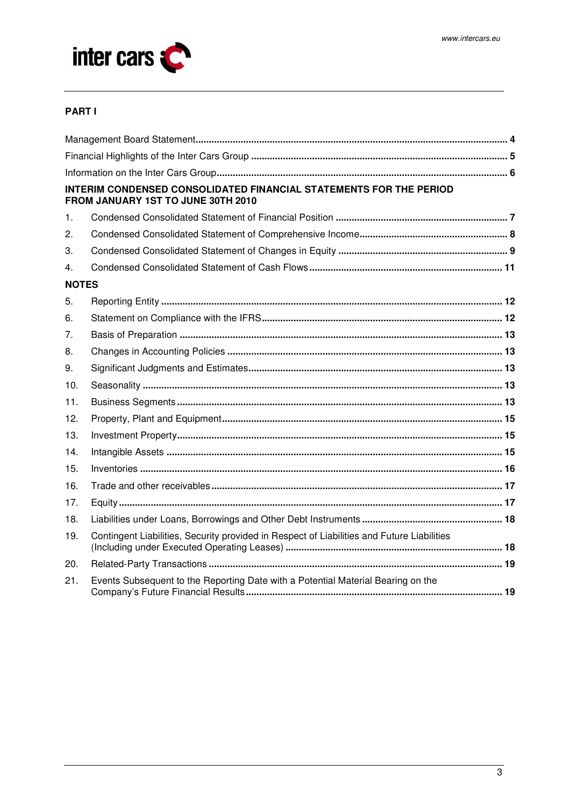

## **PART I**

|              | INTERIM CONDENSED CONSOLIDATED FINANCIAL STATEMENTS FOR THE PERIOD<br>FROM JANUARY 1ST TO JUNE 30TH 2010 |
|--------------|----------------------------------------------------------------------------------------------------------|
| 1.           |                                                                                                          |
| 2.           |                                                                                                          |
| 3.           |                                                                                                          |
| 4.           |                                                                                                          |
| <b>NOTES</b> |                                                                                                          |
| 5.           |                                                                                                          |
| 6.           |                                                                                                          |
| 7.           |                                                                                                          |
| 8.           |                                                                                                          |
| 9.           |                                                                                                          |
| 10.          |                                                                                                          |
| 11.          |                                                                                                          |
| 12.          |                                                                                                          |
| 13.          |                                                                                                          |
| 14.          |                                                                                                          |
| 15.          |                                                                                                          |
| 16.          |                                                                                                          |
| 17.          |                                                                                                          |
| 18.          |                                                                                                          |
| 19.          | Contingent Liabilities, Security provided in Respect of Liabilities and Future Liabilities               |
| 20.          |                                                                                                          |
| 21.          | Events Subsequent to the Reporting Date with a Potential Material Bearing on the                         |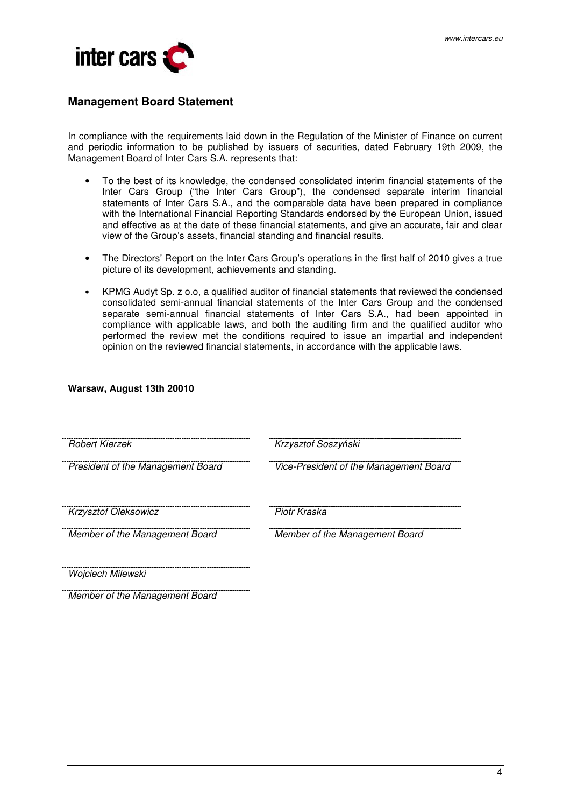

## **Management Board Statement**

In compliance with the requirements laid down in the Regulation of the Minister of Finance on current and periodic information to be published by issuers of securities, dated February 19th 2009, the Management Board of Inter Cars S.A. represents that:

- To the best of its knowledge, the condensed consolidated interim financial statements of the Inter Cars Group ("the Inter Cars Group"), the condensed separate interim financial statements of Inter Cars S.A., and the comparable data have been prepared in compliance with the International Financial Reporting Standards endorsed by the European Union, issued and effective as at the date of these financial statements, and give an accurate, fair and clear view of the Group's assets, financial standing and financial results.
- The Directors' Report on the Inter Cars Group's operations in the first half of 2010 gives a true picture of its development, achievements and standing.
- KPMG Audyt Sp. z o.o, a qualified auditor of financial statements that reviewed the condensed consolidated semi-annual financial statements of the Inter Cars Group and the condensed separate semi-annual financial statements of Inter Cars S.A., had been appointed in compliance with applicable laws, and both the auditing firm and the qualified auditor who performed the review met the conditions required to issue an impartial and independent opinion on the reviewed financial statements, in accordance with the applicable laws.

### **Warsaw, August 13th 20010**

| <b>Robert Kierzek</b>             | Krzysztof Soszyński                    |
|-----------------------------------|----------------------------------------|
| President of the Management Board | Vice-President of the Management Board |
| <b>Krzysztof Oleksowicz</b>       | Piotr Kraska                           |
| Member of the Management Board    | Member of the Management Board         |
| Wojciech Milewski                 |                                        |
| Member of the Management Board    |                                        |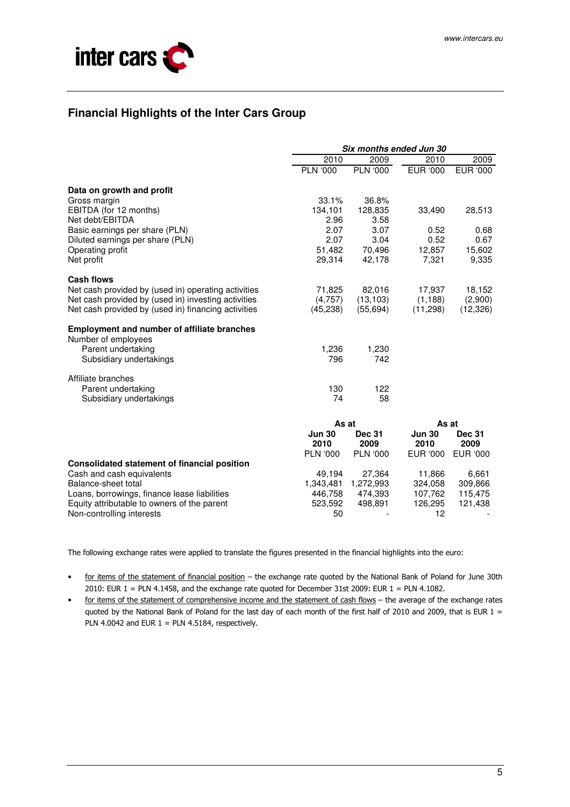

# **Financial Highlights of the Inter Cars Group**

|                                                     | Six months ended Jun 30 |                 |               |               |
|-----------------------------------------------------|-------------------------|-----------------|---------------|---------------|
|                                                     | 2010                    | 2009            | 2010          | 2009          |
|                                                     | <b>PLN '000</b>         | <b>PLN '000</b> | EUR '000      | EUR '000      |
| Data on growth and profit                           |                         |                 |               |               |
| Gross margin                                        | 33.1%                   | 36.8%           |               |               |
| EBITDA (for 12 months)                              | 134,101                 | 128,835         | 33,490        | 28,513        |
| Net debt/EBITDA                                     | 2.96                    | 3.58            |               |               |
| Basic earnings per share (PLN)                      | 2.07                    | 3.07            | 0.52          | 0.68          |
| Diluted earnings per share (PLN)                    | 2.07                    | 3.04            | 0.52          | 0.67          |
| Operating profit                                    | 51,482                  | 70,496          | 12,857        | 15,602        |
| Net profit                                          | 29,314                  | 42,178          | 7,321         | 9,335         |
| <b>Cash flows</b>                                   |                         |                 |               |               |
| Net cash provided by (used in) operating activities | 71,825                  | 82,016          | 17,937        | 18,152        |
| Net cash provided by (used in) investing activities | (4,757)                 | (13, 103)       | (1, 188)      | (2,900)       |
| Net cash provided by (used in) financing activities | (45, 238)               | (55, 694)       | (11, 298)     | (12, 326)     |
| <b>Employment and number of affiliate branches</b>  |                         |                 |               |               |
| Number of employees                                 |                         |                 |               |               |
| Parent undertaking                                  | 1,236                   | 1,230           |               |               |
| Subsidiary undertakings                             | 796                     | 742             |               |               |
| Affiliate branches                                  |                         |                 |               |               |
| Parent undertaking                                  | 130                     | 122             |               |               |
| Subsidiary undertakings                             | 74                      | 58              |               |               |
|                                                     | As at                   |                 | As at         |               |
|                                                     | <b>Jun 30</b>           | <b>Dec 31</b>   | <b>Jun 30</b> | <b>Dec 31</b> |
|                                                     | 2010                    | 2009            | 2010          | 2009          |
|                                                     | <b>PLN '000</b>         | <b>PLN '000</b> | EUR '000      | EUR '000      |
| <b>Consolidated statement of financial position</b> |                         |                 |               |               |
| Cash and cash equivalents                           | 49,194                  | 27,364          | 11,866        | 6,661         |
| Balance-sheet total                                 | 1,343,481               | 1,272,993       | 324,058       | 309,866       |
| Loans, borrowings, finance lease liabilities        | 446,758                 | 474,393         | 107,762       | 115,475       |
| Equity attributable to owners of the parent         | 523,592                 | 498,891         | 126,295       | 121,438       |
| Non-controlling interests                           | 50                      |                 | 12            |               |

The following exchange rates were applied to translate the figures presented in the financial highlights into the euro:

- for items of the statement of financial position the exchange rate quoted by the National Bank of Poland for June 30th 2010: EUR 1 = PLN 4.1458, and the exchange rate quoted for December 31st 2009: EUR 1 = PLN 4.1082.
- for items of the statement of comprehensive income and the statement of cash flows the average of the exchange rates quoted by the National Bank of Poland for the last day of each month of the first half of 2010 and 2009, that is EUR  $1 =$ PLN 4.0042 and EUR  $1 =$  PLN 4.5184, respectively.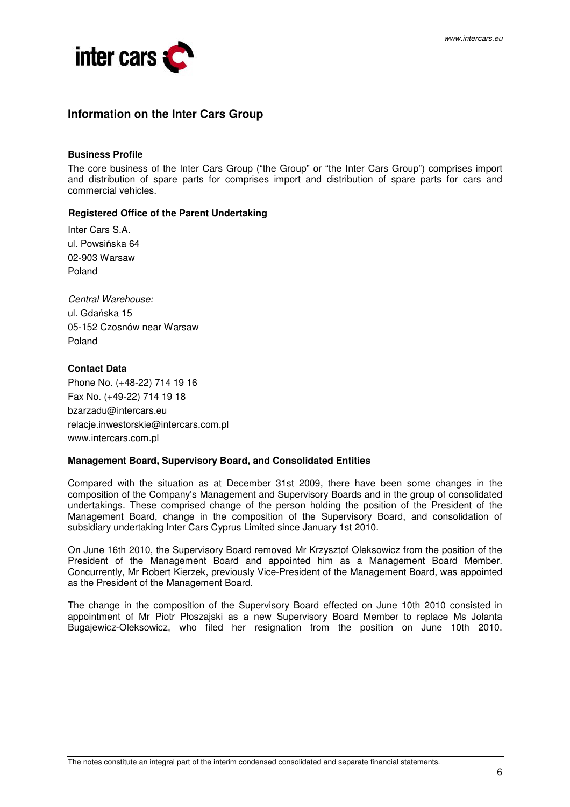

## **Information on the Inter Cars Group**

#### **Business Profile**

The core business of the Inter Cars Group ("the Group" or "the Inter Cars Group") comprises import and distribution of spare parts for comprises import and distribution of spare parts for cars and commercial vehicles.

### **Registered Office of the Parent Undertaking**

Inter Cars S.A. ul. Powsińska 64 02-903 Warsaw Poland

Central Warehouse: ul. Gdańska 15 05-152 Czosnów near Warsaw Poland

### **Contact Data**

Phone No. (+48-22) 714 19 16 Fax No. (+49-22) 714 19 18 bzarzadu@intercars.eu relacje.inwestorskie@intercars.com.pl www.intercars.com.pl

#### **Management Board, Supervisory Board, and Consolidated Entities**

Compared with the situation as at December 31st 2009, there have been some changes in the composition of the Company's Management and Supervisory Boards and in the group of consolidated undertakings. These comprised change of the person holding the position of the President of the Management Board, change in the composition of the Supervisory Board, and consolidation of subsidiary undertaking Inter Cars Cyprus Limited since January 1st 2010.

On June 16th 2010, the Supervisory Board removed Mr Krzysztof Oleksowicz from the position of the President of the Management Board and appointed him as a Management Board Member. Concurrently, Mr Robert Kierzek, previously Vice-President of the Management Board, was appointed as the President of the Management Board.

The change in the composition of the Supervisory Board effected on June 10th 2010 consisted in appointment of Mr Piotr Płoszajski as a new Supervisory Board Member to replace Ms Jolanta Bugajewicz-Oleksowicz, who filed her resignation from the position on June 10th 2010.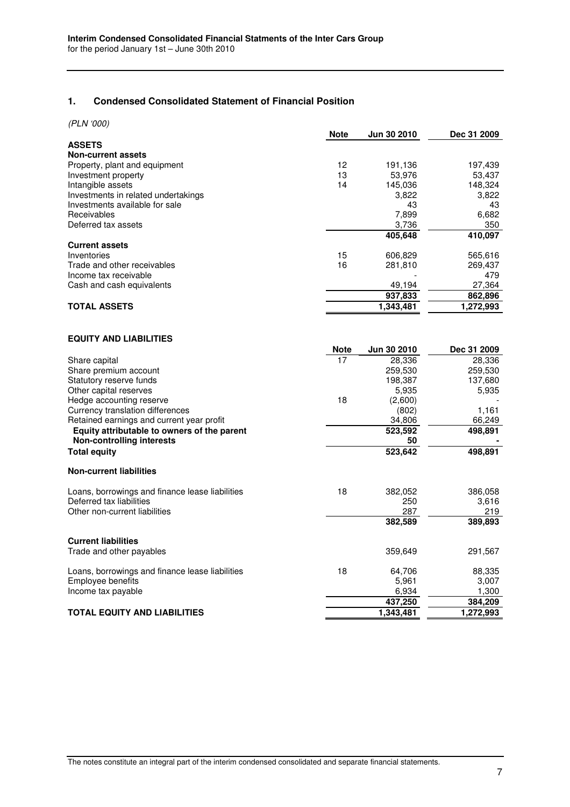## **1. Condensed Consolidated Statement of Financial Position**

(PLN '000)

| ,, ,,, ,,,,                         | <b>Note</b> | Jun 30 2010 | Dec 31 2009 |
|-------------------------------------|-------------|-------------|-------------|
| <b>ASSETS</b>                       |             |             |             |
| <b>Non-current assets</b>           |             |             |             |
| Property, plant and equipment       | 12          | 191,136     | 197,439     |
| Investment property                 | 13          | 53,976      | 53,437      |
| Intangible assets                   | 14          | 145,036     | 148,324     |
| Investments in related undertakings |             | 3,822       | 3,822       |
| Investments available for sale      |             | 43          | 43          |
| Receivables                         |             | 7,899       | 6,682       |
| Deferred tax assets                 |             | 3,736       | 350         |
|                                     |             | 405.648     | 410,097     |
| <b>Current assets</b>               |             |             |             |
| Inventories                         | 15          | 606,829     | 565,616     |
| Trade and other receivables         | 16          | 281,810     | 269,437     |
| Income tax receivable               |             |             | 479         |
| Cash and cash equivalents           |             | 49,194      | 27,364      |
|                                     |             | 937,833     | 862,896     |
| <b>TOTAL ASSETS</b>                 |             | 1,343,481   | 1,272,993   |
|                                     |             |             |             |

#### **EQUITY AND LIABILITIES**

|                                                 | Note | Jun 30 2010 | Dec 31 2009 |
|-------------------------------------------------|------|-------------|-------------|
| Share capital                                   | 17   | 28,336      | 28,336      |
| Share premium account                           |      | 259,530     | 259,530     |
| Statutory reserve funds                         |      | 198,387     | 137,680     |
| Other capital reserves                          |      | 5,935       | 5,935       |
| Hedge accounting reserve                        | 18   | (2,600)     |             |
| Currency translation differences                |      | (802)       | 1,161       |
| Retained earnings and current year profit       |      | 34,806      | 66,249      |
| Equity attributable to owners of the parent     |      | 523,592     | 498,891     |
| <b>Non-controlling interests</b>                |      | 50          |             |
| <b>Total equity</b>                             |      | 523,642     | 498,891     |
| <b>Non-current liabilities</b>                  |      |             |             |
| Loans, borrowings and finance lease liabilities | 18   | 382,052     | 386,058     |
| Deferred tax liabilities                        |      | 250         | 3,616       |
| Other non-current liabilities                   |      | 287         | 219         |
|                                                 |      | 382,589     | 389,893     |
| <b>Current liabilities</b>                      |      |             |             |
| Trade and other payables                        |      | 359,649     | 291,567     |
| Loans, borrowings and finance lease liabilities | 18   | 64,706      | 88,335      |
| Employee benefits                               |      | 5,961       | 3,007       |
| Income tax payable                              |      | 6,934       | 1,300       |
|                                                 |      | 437,250     | 384,209     |
| <b>TOTAL EQUITY AND LIABILITIES</b>             |      | 1,343,481   | 1,272,993   |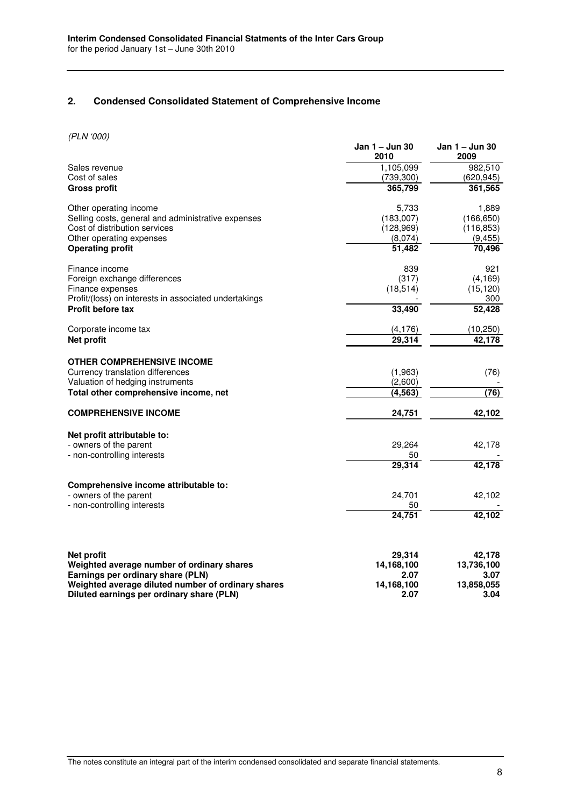## **2. Condensed Consolidated Statement of Comprehensive Income**

(PLN '000)

|                                                                                                 | Jan 1 - Jun 30<br>2010 | Jan 1 - Jun 30<br>2009 |
|-------------------------------------------------------------------------------------------------|------------------------|------------------------|
| Sales revenue                                                                                   | 1,105,099              | 982,510                |
| Cost of sales                                                                                   | (739, 300)             | (620, 945)             |
| <b>Gross profit</b>                                                                             | 365,799                | 361,565                |
| Other operating income                                                                          | 5,733                  | 1,889                  |
| Selling costs, general and administrative expenses                                              | (183,007)              | (166, 650)             |
| Cost of distribution services                                                                   | (128,969)              | (116, 853)             |
| Other operating expenses                                                                        | (8,074)                | (9, 455)               |
| <b>Operating profit</b>                                                                         | 51,482                 | 70,496                 |
| Finance income                                                                                  | 839                    | 921                    |
| Foreign exchange differences                                                                    | (317)                  | (4, 169)               |
| Finance expenses<br>Profit/(loss) on interests in associated undertakings                       | (18, 514)              | (15, 120)<br>300       |
| Profit before tax                                                                               | 33,490                 | 52,428                 |
| Corporate income tax                                                                            | (4, 176)               | (10, 250)              |
| <b>Net profit</b>                                                                               | 29.314                 | 42,178                 |
| <b>OTHER COMPREHENSIVE INCOME</b>                                                               |                        |                        |
| Currency translation differences                                                                | (1,963)                | (76)                   |
| Valuation of hedging instruments                                                                | (2,600)                |                        |
| Total other comprehensive income, net                                                           | (4, 563)               | (76)                   |
| <b>COMPREHENSIVE INCOME</b>                                                                     | 24,751                 | 42,102                 |
| Net profit attributable to:                                                                     |                        |                        |
| - owners of the parent                                                                          | 29,264                 | 42,178                 |
| - non-controlling interests                                                                     | 50                     |                        |
|                                                                                                 | 29,314                 | 42,178                 |
| Comprehensive income attributable to:                                                           |                        |                        |
| - owners of the parent                                                                          | 24,701                 | 42,102                 |
| - non-controlling interests                                                                     | 50                     |                        |
|                                                                                                 | 24,751                 | 42,102                 |
|                                                                                                 |                        |                        |
| <b>Net profit</b>                                                                               | 29,314                 | 42,178                 |
| Weighted average number of ordinary shares                                                      | 14,168,100             | 13,736,100             |
| Earnings per ordinary share (PLN)                                                               | 2.07                   | 3.07                   |
| Weighted average diluted number of ordinary shares<br>Diluted earnings per ordinary share (PLN) | 14,168,100<br>2.07     | 13,858,055<br>3.04     |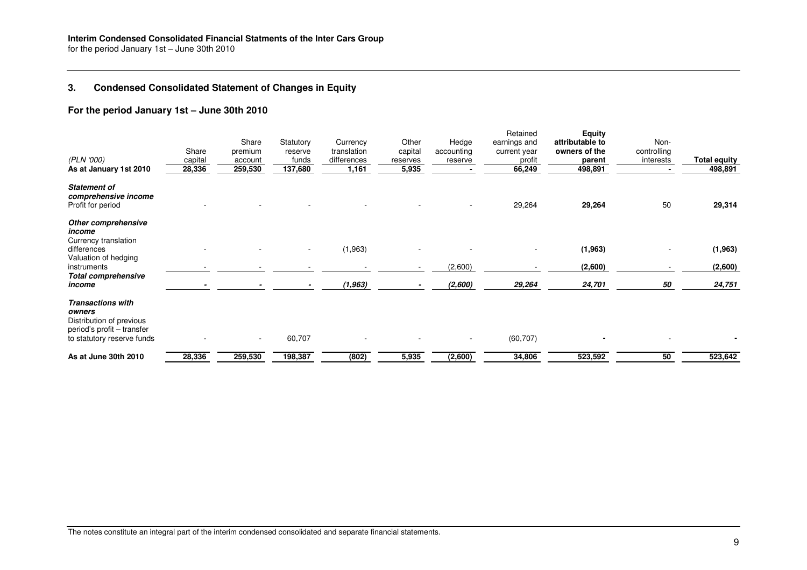## **3. Condensed Consolidated Statement of Changes in Equity**

### **For the period January 1st – June 30th 2010**

| (PLN '000)<br>As at January 1st 2010                                                                                       | Share<br>capital<br>28,336 | Share<br>premium<br>account<br>259,530 | Statutory<br>reserve<br>funds<br>137,680 | Currency<br>translation<br>differences<br>1,161 | Other<br>capital<br>reserves<br>5,935 | Hedge<br>accounting<br>reserve | Retained<br>earnings and<br>current year<br>profit<br>66,249 | <b>Equity</b><br>attributable to<br>owners of the<br>parent<br>498,891 | Non-<br>controlling<br>interests | <b>Total equity</b><br>498,891 |
|----------------------------------------------------------------------------------------------------------------------------|----------------------------|----------------------------------------|------------------------------------------|-------------------------------------------------|---------------------------------------|--------------------------------|--------------------------------------------------------------|------------------------------------------------------------------------|----------------------------------|--------------------------------|
| <b>Statement of</b><br>comprehensive income<br>Profit for period                                                           |                            |                                        |                                          |                                                 |                                       |                                | 29,264                                                       | 29,264                                                                 | 50                               | 29,314                         |
| Other comprehensive<br>income<br>Currency translation                                                                      |                            |                                        |                                          |                                                 |                                       |                                |                                                              |                                                                        |                                  |                                |
| differences<br>Valuation of hedging                                                                                        |                            |                                        |                                          | (1,963)                                         |                                       |                                |                                                              | (1, 963)                                                               |                                  | (1, 963)                       |
| instruments<br><b>Total comprehensive</b>                                                                                  |                            |                                        |                                          |                                                 |                                       | (2,600)                        |                                                              | (2,600)                                                                |                                  | (2,600)                        |
| income                                                                                                                     |                            |                                        |                                          | (1, 963)                                        |                                       | (2,600)                        | 29,264                                                       | 24,701                                                                 | 50                               | 24,751                         |
| <b>Transactions with</b><br>owners<br>Distribution of previous<br>period's profit - transfer<br>to statutory reserve funds |                            | $\overline{\phantom{a}}$               | 60,707                                   |                                                 |                                       |                                | (60, 707)                                                    |                                                                        |                                  |                                |
| As at June 30th 2010                                                                                                       | 28,336                     | 259,530                                | 198,387                                  | (802)                                           | 5,935                                 | (2,600)                        | 34,806                                                       | 523,592                                                                | 50                               | 523,642                        |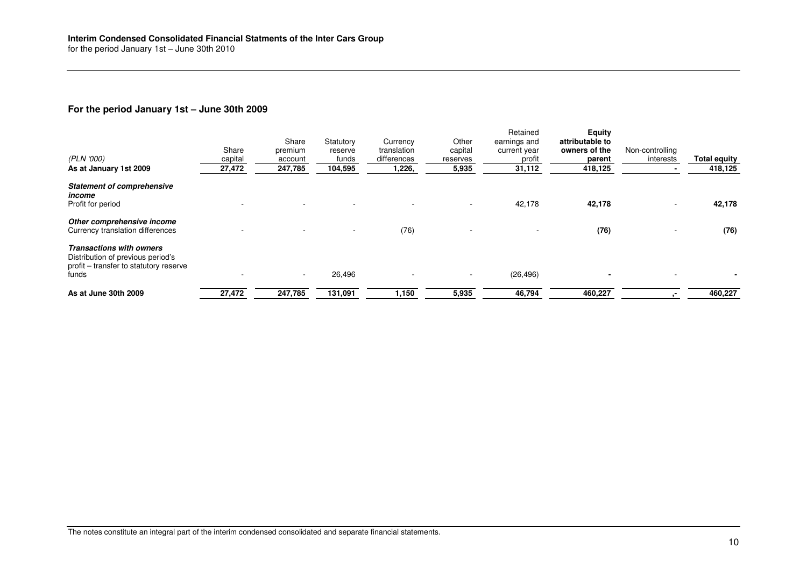### **For the period January 1st – June 30th 2009**

| (PLN '000)<br>As at January 1st 2009                                                                                    | Share<br>capital<br>27,472 | Share<br>premium<br>account<br>247,785 | Statutory<br>reserve<br>funds<br>104,595 | Currency<br>translation<br>differences<br>1,226, | Other<br>capital<br>reserves<br>5,935 | Retained<br>earnings and<br>current year<br>profit<br>31,112 | Equity<br>attributable to<br>owners of the<br>parent<br>418,125 | Non-controlling<br>interests | <b>Total equity</b><br>418,125 |
|-------------------------------------------------------------------------------------------------------------------------|----------------------------|----------------------------------------|------------------------------------------|--------------------------------------------------|---------------------------------------|--------------------------------------------------------------|-----------------------------------------------------------------|------------------------------|--------------------------------|
| <b>Statement of comprehensive</b><br>income<br>Profit for period                                                        |                            |                                        |                                          |                                                  |                                       | 42,178                                                       | 42,178                                                          |                              | 42,178                         |
| Other comprehensive income<br>Currency translation differences                                                          |                            |                                        |                                          | (76)                                             |                                       |                                                              | (76)                                                            |                              | (76)                           |
| <b>Transactions with owners</b><br>Distribution of previous period's<br>profit – transfer to statutory reserve<br>funds |                            | $\sim$                                 | 26,496                                   |                                                  |                                       | (26, 496)                                                    |                                                                 |                              |                                |
| As at June 30th 2009                                                                                                    | 27,472                     | 247,785                                | 131,091                                  | 1,150                                            | 5,935                                 | 46,794                                                       | 460,227                                                         |                              | 460,227                        |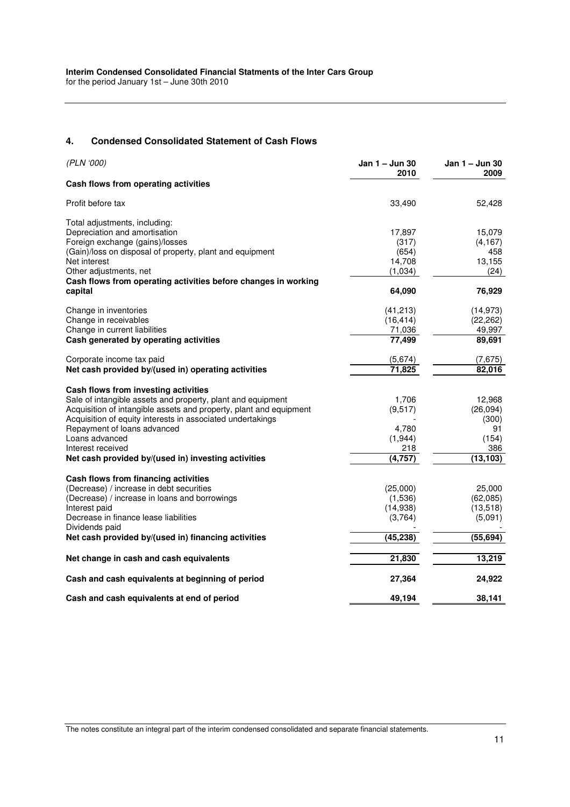#### **4. Condensed Consolidated Statement of Cash Flows**

| (PLN '000)                                                         | Jan 1 – Jun 30<br>2010 | Jan 1 – Jun 30<br>2009 |
|--------------------------------------------------------------------|------------------------|------------------------|
| Cash flows from operating activities                               |                        |                        |
| Profit before tax                                                  | 33,490                 | 52,428                 |
| Total adjustments, including:                                      |                        |                        |
| Depreciation and amortisation                                      | 17,897                 | 15,079                 |
| Foreign exchange (gains)/losses                                    | (317)                  | (4, 167)               |
| (Gain)/loss on disposal of property, plant and equipment           | (654)                  | 458                    |
| Net interest                                                       | 14,708                 | 13,155                 |
| Other adjustments, net                                             | (1,034)                | (24)                   |
| Cash flows from operating activities before changes in working     |                        |                        |
| capital                                                            | 64,090                 | 76,929                 |
| Change in inventories                                              | (41,213)               | (14, 973)              |
| Change in receivables                                              | (16, 414)              | (22, 262)              |
| Change in current liabilities                                      | 71,036                 | 49,997                 |
| Cash generated by operating activities                             | 77,499                 | 89,691                 |
| Corporate income tax paid                                          | (5,674)                | (7,675)                |
| Net cash provided by/(used in) operating activities                | 71,825                 | 82,016                 |
| Cash flows from investing activities                               |                        |                        |
| Sale of intangible assets and property, plant and equipment        | 1,706                  | 12,968                 |
| Acquisition of intangible assets and property, plant and equipment | (9, 517)               | (26, 094)              |
| Acquisition of equity interests in associated undertakings         |                        | (300)                  |
| Repayment of loans advanced                                        | 4,780                  | 91                     |
| Loans advanced                                                     | (1,944)                | (154)                  |
| Interest received                                                  | 218                    | 386                    |
| Net cash provided by/(used in) investing activities                | (4, 757)               | (13, 103)              |
| Cash flows from financing activities                               |                        |                        |
| (Decrease) / increase in debt securities                           | (25,000)               | 25,000                 |
| (Decrease) / increase in loans and borrowings                      | (1,536)                | (62,085)               |
| Interest paid                                                      | (14,938)               | (13,518)               |
| Decrease in finance lease liabilities                              | (3,764)                | (5,091)                |
| Dividends paid                                                     |                        |                        |
| Net cash provided by/(used in) financing activities                | (45, 238)              | (55, 694)              |
| Net change in cash and cash equivalents                            | 21,830                 | 13,219                 |
| Cash and cash equivalents at beginning of period                   | 27,364                 | 24,922                 |
| Cash and cash equivalents at end of period                         | 49,194                 | 38,141                 |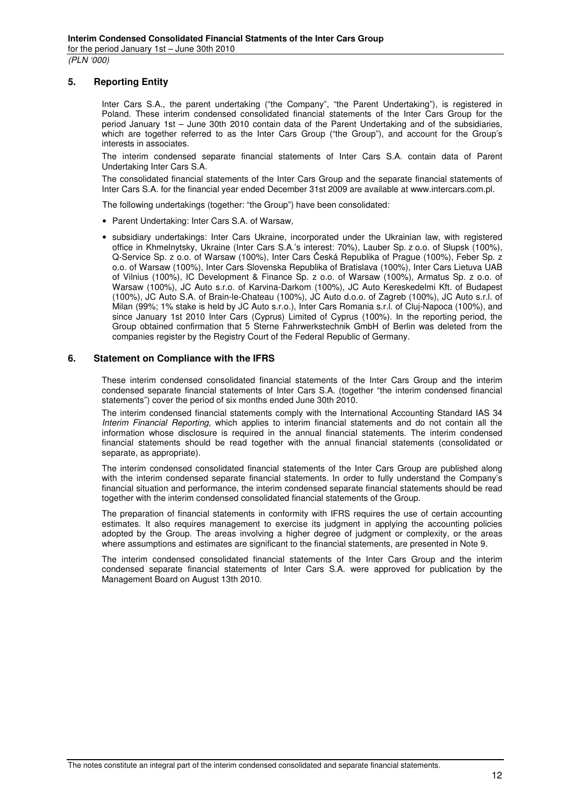### **5. Reporting Entity**

Inter Cars S.A., the parent undertaking ("the Company", "the Parent Undertaking"), is registered in Poland. These interim condensed consolidated financial statements of the Inter Cars Group for the period January 1st – June 30th 2010 contain data of the Parent Undertaking and of the subsidiaries, which are together referred to as the Inter Cars Group ("the Group"), and account for the Group's interests in associates.

The interim condensed separate financial statements of Inter Cars S.A. contain data of Parent Undertaking Inter Cars S.A.

The consolidated financial statements of the Inter Cars Group and the separate financial statements of Inter Cars S.A. for the financial year ended December 31st 2009 are available at www.intercars.com.pl.

The following undertakings (together: "the Group") have been consolidated:

- Parent Undertaking: Inter Cars S.A. of Warsaw,
- subsidiary undertakings: Inter Cars Ukraine, incorporated under the Ukrainian law, with registered office in Khmelnytsky, Ukraine (Inter Cars S.A.'s interest: 70%), Lauber Sp. z o.o. of Słupsk (100%), Q-Service Sp. z o.o. of Warsaw (100%), Inter Cars Česká Republika of Prague (100%), Feber Sp. z o.o. of Warsaw (100%), Inter Cars Slovenska Republika of Bratislava (100%), Inter Cars Lietuva UAB of Vilnius (100%), IC Development & Finance Sp. z o.o. of Warsaw (100%), Armatus Sp. z o.o. of Warsaw (100%), JC Auto s.r.o. of Karvina-Darkom (100%), JC Auto Kereskedelmi Kft. of Budapest (100%), JC Auto S.A. of Brain-le-Chateau (100%), JC Auto d.o.o. of Zagreb (100%), JC Auto s.r.l. of Milan (99%; 1% stake is held by JC Auto s.r.o.), Inter Cars Romania s.r.l. of Cluj-Napoca (100%), and since January 1st 2010 Inter Cars (Cyprus) Limited of Cyprus (100%). In the reporting period, the Group obtained confirmation that 5 Sterne Fahrwerkstechnik GmbH of Berlin was deleted from the companies register by the Registry Court of the Federal Republic of Germany.

#### **6. Statement on Compliance with the IFRS**

These interim condensed consolidated financial statements of the Inter Cars Group and the interim condensed separate financial statements of Inter Cars S.A. (together "the interim condensed financial statements") cover the period of six months ended June 30th 2010.

The interim condensed financial statements comply with the International Accounting Standard IAS 34 Interim Financial Reporting, which applies to interim financial statements and do not contain all the information whose disclosure is required in the annual financial statements. The interim condensed financial statements should be read together with the annual financial statements (consolidated or separate, as appropriate).

The interim condensed consolidated financial statements of the Inter Cars Group are published along with the interim condensed separate financial statements. In order to fully understand the Company's financial situation and performance, the interim condensed separate financial statements should be read together with the interim condensed consolidated financial statements of the Group.

The preparation of financial statements in conformity with IFRS requires the use of certain accounting estimates. It also requires management to exercise its judgment in applying the accounting policies adopted by the Group. The areas involving a higher degree of judgment or complexity, or the areas where assumptions and estimates are significant to the financial statements, are presented in Note 9.

The interim condensed consolidated financial statements of the Inter Cars Group and the interim condensed separate financial statements of Inter Cars S.A. were approved for publication by the Management Board on August 13th 2010.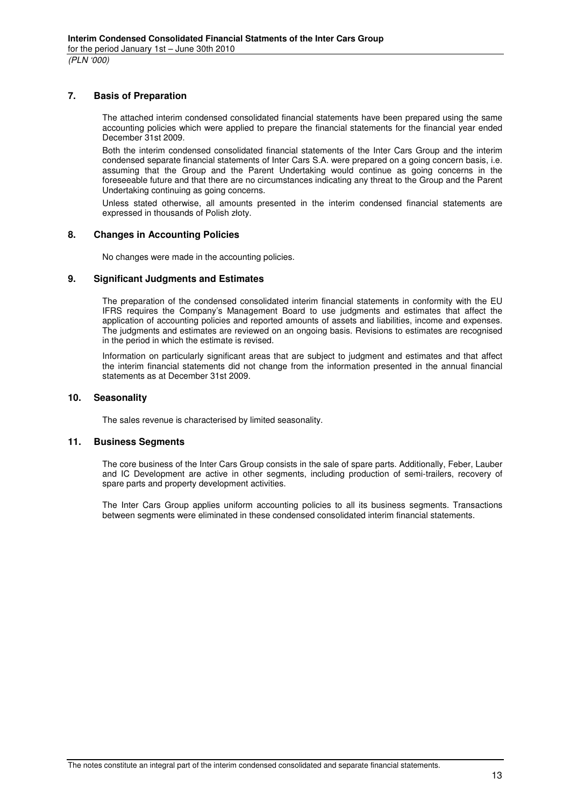### **7. Basis of Preparation**

The attached interim condensed consolidated financial statements have been prepared using the same accounting policies which were applied to prepare the financial statements for the financial year ended December 31st 2009.

Both the interim condensed consolidated financial statements of the Inter Cars Group and the interim condensed separate financial statements of Inter Cars S.A. were prepared on a going concern basis, i.e. assuming that the Group and the Parent Undertaking would continue as going concerns in the foreseeable future and that there are no circumstances indicating any threat to the Group and the Parent Undertaking continuing as going concerns.

Unless stated otherwise, all amounts presented in the interim condensed financial statements are expressed in thousands of Polish złoty.

#### **8. Changes in Accounting Policies**

No changes were made in the accounting policies.

#### **9. Significant Judgments and Estimates**

The preparation of the condensed consolidated interim financial statements in conformity with the EU IFRS requires the Company's Management Board to use judgments and estimates that affect the application of accounting policies and reported amounts of assets and liabilities, income and expenses. The judgments and estimates are reviewed on an ongoing basis. Revisions to estimates are recognised in the period in which the estimate is revised.

Information on particularly significant areas that are subject to judgment and estimates and that affect the interim financial statements did not change from the information presented in the annual financial statements as at December 31st 2009.

#### **10. Seasonality**

The sales revenue is characterised by limited seasonality.

### **11. Business Segments**

The core business of the Inter Cars Group consists in the sale of spare parts. Additionally, Feber, Lauber and IC Development are active in other segments, including production of semi-trailers, recovery of spare parts and property development activities.

The Inter Cars Group applies uniform accounting policies to all its business segments. Transactions between segments were eliminated in these condensed consolidated interim financial statements.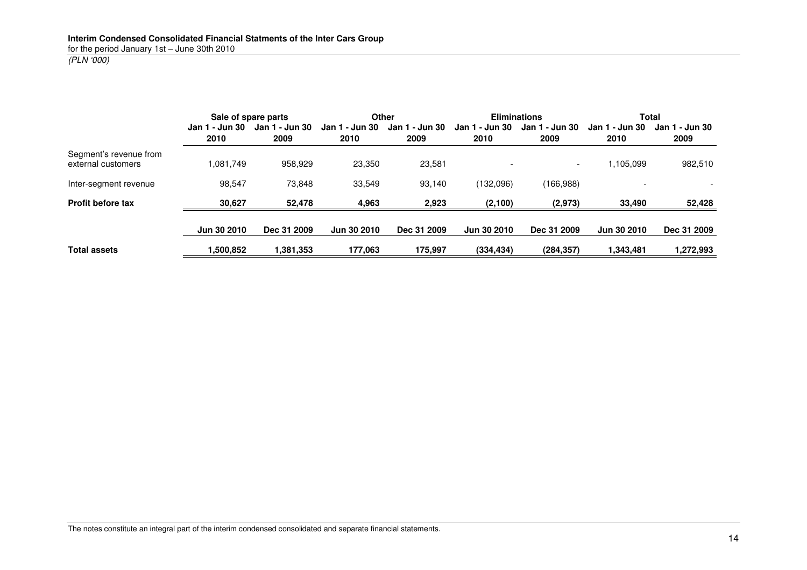## (PLN '000)

|                                              |                | Sale of spare parts |                | <b>Other</b>   |                | <b>Eliminations</b> |                | Total          |
|----------------------------------------------|----------------|---------------------|----------------|----------------|----------------|---------------------|----------------|----------------|
|                                              | Jan 1 - Jun 30 | Jan 1 - Jun 30      | Jan 1 - Jun 30 | Jan 1 - Jun 30 | Jan 1 - Jun 30 | Jan 1 - Jun 30      | Jan 1 - Jun 30 | Jan 1 - Jun 30 |
|                                              | 2010           | 2009                | 2010           | 2009           | 2010           | 2009                | 2010           | 2009           |
| Segment's revenue from<br>external customers | 1,081,749      | 958,929             | 23,350         | 23,581         |                |                     | ,105,099       | 982,510        |
| Inter-segment revenue                        | 98,547         | 73,848              | 33,549         | 93,140         | (132,096)      | (166,988)           |                |                |
| <b>Profit before tax</b>                     | 30,627         | 52,478              | 4,963          | 2,923          | (2, 100)       | (2, 973)            | 33,490         | 52,428         |
|                                              | Jun 30 2010    | Dec 31 2009         | Jun 30 2010    | Dec 31 2009    | Jun 30 2010    | Dec 31 2009         | Jun 30 2010    | Dec 31 2009    |
| <b>Total assets</b>                          | ,500,852       | 1,381,353           | 177,063        | 175,997        | (334, 434)     | (284, 357)          | 1,343,481      | 1,272,993      |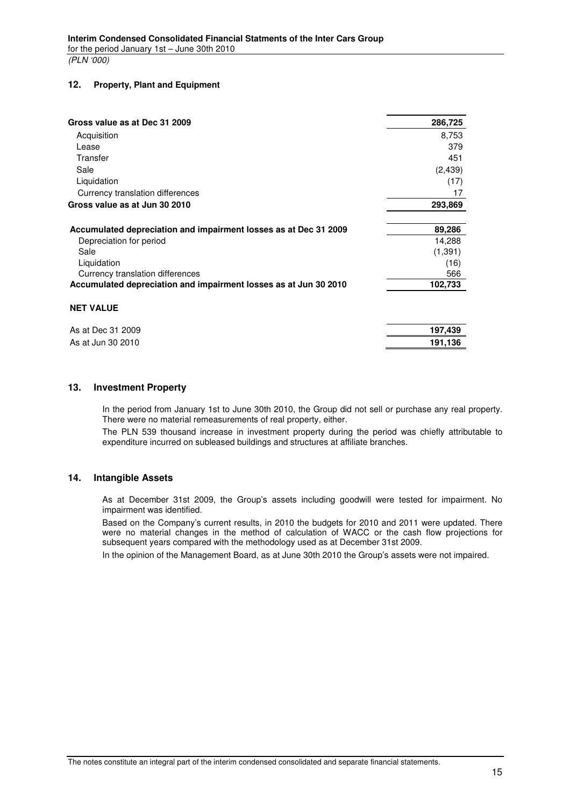#### **12. Property, Plant and Equipment**

| Gross value as at Dec 31 2009                                    | 286,725  |
|------------------------------------------------------------------|----------|
| Acquisition                                                      | 8,753    |
| Lease                                                            | 379      |
| Transfer                                                         | 451      |
| Sale                                                             | (2, 439) |
| Liquidation                                                      | (17)     |
| Currency translation differences                                 | 17       |
| Gross value as at Jun 30 2010                                    | 293,869  |
|                                                                  |          |
| Accumulated depreciation and impairment losses as at Dec 31 2009 | 89,286   |
| Depreciation for period                                          | 14,288   |
| Sale                                                             | (1, 391) |
| Liquidation                                                      | (16)     |
| Currency translation differences                                 | 566      |
| Accumulated depreciation and impairment losses as at Jun 30 2010 | 102,733  |
| <b>NET VALUE</b>                                                 |          |
| As at Dec 31 2009                                                | 197,439  |
| As at Jun 30 2010                                                | 191,136  |

#### **13. Investment Property**

In the period from January 1st to June 30th 2010, the Group did not sell or purchase any real property. There were no material remeasurements of real property, either.

The PLN 539 thousand increase in investment property during the period was chiefly attributable to expenditure incurred on subleased buildings and structures at affiliate branches.

### **14. Intangible Assets**

As at December 31st 2009, the Group's assets including goodwill were tested for impairment. No impairment was identified.

Based on the Company's current results, in 2010 the budgets for 2010 and 2011 were updated. There were no material changes in the method of calculation of WACC or the cash flow projections for subsequent years compared with the methodology used as at December 31st 2009.

In the opinion of the Management Board, as at June 30th 2010 the Group's assets were not impaired.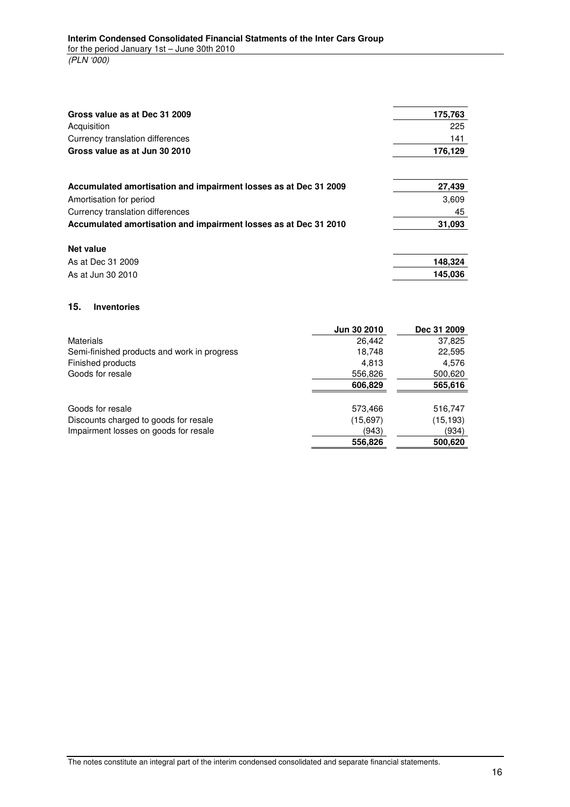| Gross value as at Dec 31 2009                                    | 175,763 |
|------------------------------------------------------------------|---------|
| Acquisition                                                      | 225     |
| Currency translation differences                                 | 141     |
| Gross value as at Jun 30 2010                                    | 176,129 |
|                                                                  |         |
| Accumulated amortisation and impairment losses as at Dec 31 2009 | 27,439  |
| Amortisation for period                                          | 3,609   |
| Currency translation differences                                 | 45      |
| Accumulated amortisation and impairment losses as at Dec 31 2010 | 31,093  |
| Net value                                                        |         |
| As at Dec 31 2009                                                | 148,324 |
| As at Jun 30 2010                                                | 145.036 |

#### **15. Inventories**

|                                             | Jun 30 2010 | Dec 31 2009 |
|---------------------------------------------|-------------|-------------|
| <b>Materials</b>                            | 26,442      | 37,825      |
| Semi-finished products and work in progress | 18,748      | 22,595      |
| Finished products                           | 4,813       | 4,576       |
| Goods for resale                            | 556,826     | 500,620     |
|                                             | 606,829     | 565,616     |
| Goods for resale                            | 573,466     | 516,747     |
| Discounts charged to goods for resale       | (15,697)    | (15, 193)   |
| Impairment losses on goods for resale       | (943)       | (934)       |
|                                             | 556,826     | 500,620     |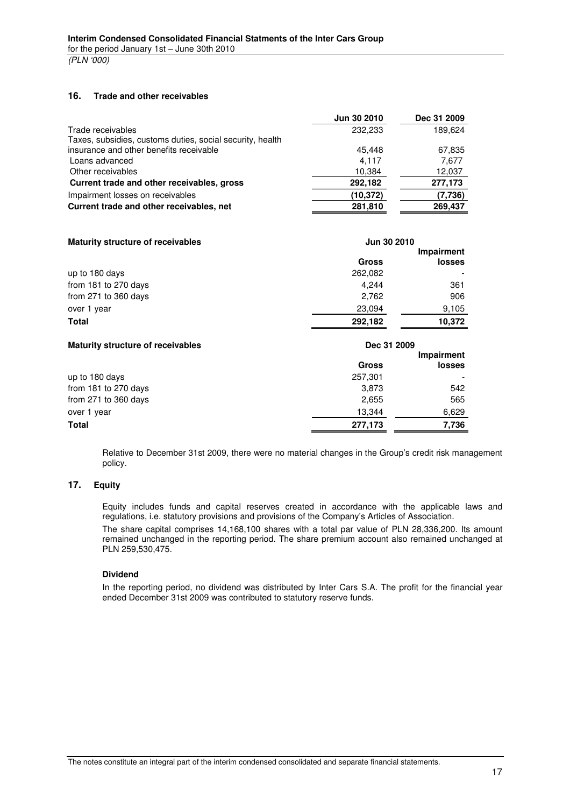(PLN '000)

#### **16. Trade and other receivables**

|                                                           | Jun 30 2010 | Dec 31 2009 |
|-----------------------------------------------------------|-------------|-------------|
| Trade receivables                                         | 232,233     | 189,624     |
| Taxes, subsidies, customs duties, social security, health |             |             |
| insurance and other benefits receivable                   | 45.448      | 67,835      |
| Loans advanced                                            | 4.117       | 7,677       |
| Other receivables                                         | 10,384      | 12,037      |
| Current trade and other receivables, gross                | 292,182     | 277,173     |
| Impairment losses on receivables                          | (10, 372)   | (7,736)     |
| Current trade and other receivables, net                  | 281,810     | 269,437     |
|                                                           |             |             |

| <b>Maturity structure of receivables</b> | Jun 30 2010  |               |  |
|------------------------------------------|--------------|---------------|--|
|                                          |              | Impairment    |  |
|                                          | <b>Gross</b> | <b>losses</b> |  |
| up to 180 days                           | 262.082      |               |  |
| from 181 to 270 days                     | 4.244        | 361           |  |
| from 271 to 360 days                     | 2.762        | 906           |  |
| over 1 year                              | 23,094       | 9,105         |  |
| <b>Total</b>                             | 292,182      | 10.372        |  |

| <b>Maturity structure of receivables</b> | Dec 31 2009  |               |  |
|------------------------------------------|--------------|---------------|--|
|                                          |              | Impairment    |  |
|                                          | <b>Gross</b> | <b>losses</b> |  |
| up to 180 days                           | 257,301      |               |  |
| from 181 to 270 days                     | 3,873        | 542           |  |
| from 271 to 360 days                     | 2,655        | 565           |  |
| over 1 year                              | 13,344       | 6,629         |  |
| <b>Total</b>                             | 277,173      | 7,736         |  |
|                                          |              |               |  |

Relative to December 31st 2009, there were no material changes in the Group's credit risk management policy.

#### **17. Equity**

Equity includes funds and capital reserves created in accordance with the applicable laws and regulations, i.e. statutory provisions and provisions of the Company's Articles of Association.

The share capital comprises 14,168,100 shares with a total par value of PLN 28,336,200. Its amount remained unchanged in the reporting period. The share premium account also remained unchanged at PLN 259,530,475.

#### **Dividend**

In the reporting period, no dividend was distributed by Inter Cars S.A. The profit for the financial year ended December 31st 2009 was contributed to statutory reserve funds.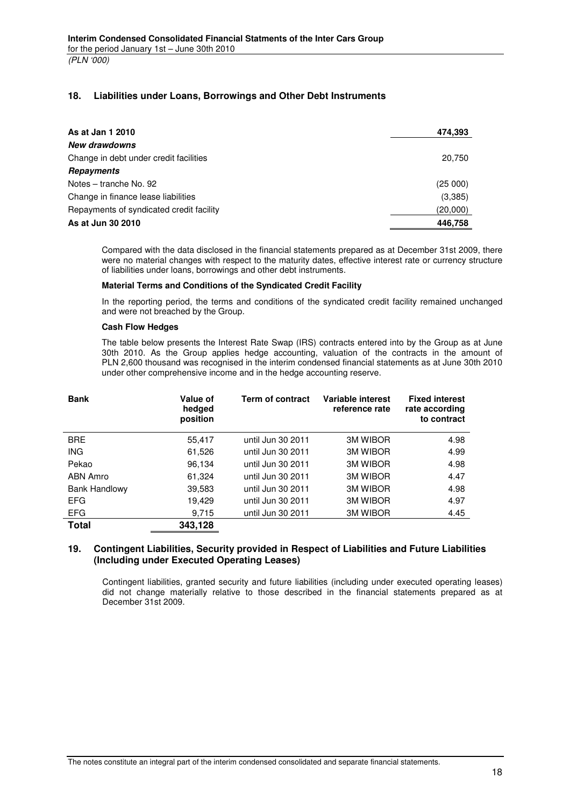### **18. Liabilities under Loans, Borrowings and Other Debt Instruments**

| As at Jan 1 2010                         | 474,393  |
|------------------------------------------|----------|
| New drawdowns                            |          |
| Change in debt under credit facilities   | 20,750   |
| Repayments                               |          |
| Notes – tranche No. 92                   | (25000)  |
| Change in finance lease liabilities      | (3,385)  |
| Repayments of syndicated credit facility | (20,000) |
| As at Jun 30 2010                        | 446.758  |

Compared with the data disclosed in the financial statements prepared as at December 31st 2009, there were no material changes with respect to the maturity dates, effective interest rate or currency structure of liabilities under loans, borrowings and other debt instruments.

#### **Material Terms and Conditions of the Syndicated Credit Facility**

In the reporting period, the terms and conditions of the syndicated credit facility remained unchanged and were not breached by the Group.

#### **Cash Flow Hedges**

The table below presents the Interest Rate Swap (IRS) contracts entered into by the Group as at June 30th 2010. As the Group applies hedge accounting, valuation of the contracts in the amount of PLN 2,600 thousand was recognised in the interim condensed financial statements as at June 30th 2010 under other comprehensive income and in the hedge accounting reserve.

| <b>Bank</b>          | Value of<br>hedged<br>position | <b>Term of contract</b> | Variable interest<br>reference rate | <b>Fixed interest</b><br>rate according<br>to contract |
|----------------------|--------------------------------|-------------------------|-------------------------------------|--------------------------------------------------------|
| <b>BRE</b>           | 55,417                         | until Jun 30 2011       | <b>3M WIBOR</b>                     | 4.98                                                   |
| <b>ING</b>           | 61,526                         | until Jun 30 2011       | <b>3M WIBOR</b>                     | 4.99                                                   |
| Pekao                | 96,134                         | until Jun 30 2011       | <b>3M WIBOR</b>                     | 4.98                                                   |
| ABN Amro             | 61,324                         | until Jun 30 2011       | <b>3M WIBOR</b>                     | 4.47                                                   |
| <b>Bank Handlowy</b> | 39,583                         | until Jun 30 2011       | <b>3M WIBOR</b>                     | 4.98                                                   |
| <b>EFG</b>           | 19.429                         | until Jun 30 2011       | <b>3M WIBOR</b>                     | 4.97                                                   |
| <b>EFG</b>           | 9,715                          | until Jun 30 2011       | <b>3M WIBOR</b>                     | 4.45                                                   |
| <b>Total</b>         | 343,128                        |                         |                                     |                                                        |

#### **19. Contingent Liabilities, Security provided in Respect of Liabilities and Future Liabilities (Including under Executed Operating Leases)**

Contingent liabilities, granted security and future liabilities (including under executed operating leases) did not change materially relative to those described in the financial statements prepared as at December 31st 2009.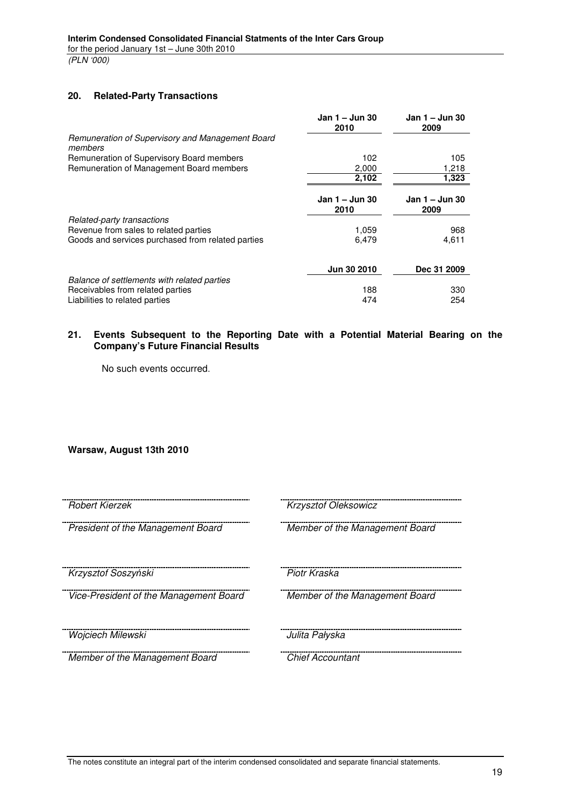(PLN '000)

### **20. Related-Party Transactions**

|                                                                                                                   | Jan 1 – Jun 30<br>2010 | Jan 1 – Jun 30<br>2009 |
|-------------------------------------------------------------------------------------------------------------------|------------------------|------------------------|
| Remuneration of Supervisory and Management Board<br>members                                                       |                        |                        |
| Remuneration of Supervisory Board members<br>Remuneration of Management Board members                             | 102<br>2,000           | 105<br>1,218           |
|                                                                                                                   | 2,102                  | 1,323                  |
|                                                                                                                   | Jan 1 - Jun 30<br>2010 | Jan 1 – Jun 30<br>2009 |
| Related-party transactions                                                                                        |                        |                        |
| Revenue from sales to related parties<br>Goods and services purchased from related parties                        | 1,059<br>6,479         | 968<br>4,611           |
|                                                                                                                   | Jun 30 2010            | Dec 31 2009            |
| Balance of settlements with related parties<br>Receivables from related parties<br>Liabilities to related parties | 188<br>474             | 330<br>254             |
|                                                                                                                   |                        |                        |

#### **21. Events Subsequent to the Reporting Date with a Potential Material Bearing on the Company's Future Financial Results**

No such events occurred.

### **Warsaw, August 13th 2010**

| Robert Kierzek                         | Krzysztof Oleksowicz           |
|----------------------------------------|--------------------------------|
| President of the Management Board      | Member of the Management Board |
| Krzysztof Soszyński                    | Piotr Kraska                   |
| Vice-President of the Management Board | Member of the Management Board |
| Wojciech Milewski                      | Julita Pałyska                 |
| Member of the Management Board         | <b>Chief Accountant</b>        |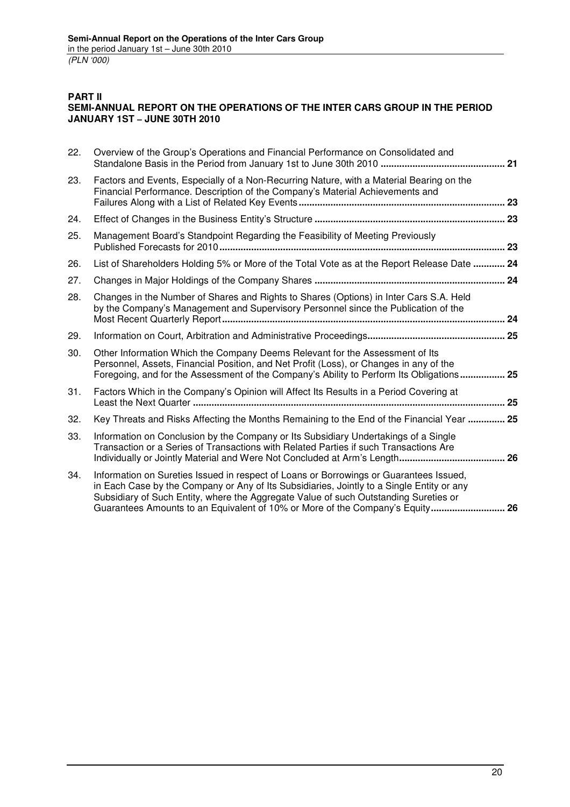### **PART II SEMI-ANNUAL REPORT ON THE OPERATIONS OF THE INTER CARS GROUP IN THE PERIOD JANUARY 1ST – JUNE 30TH 2010**

| 22. | Overview of the Group's Operations and Financial Performance on Consolidated and                                                                                                                                                                                                                                                                             |  |
|-----|--------------------------------------------------------------------------------------------------------------------------------------------------------------------------------------------------------------------------------------------------------------------------------------------------------------------------------------------------------------|--|
| 23. | Factors and Events, Especially of a Non-Recurring Nature, with a Material Bearing on the<br>Financial Performance. Description of the Company's Material Achievements and                                                                                                                                                                                    |  |
| 24. |                                                                                                                                                                                                                                                                                                                                                              |  |
| 25. | Management Board's Standpoint Regarding the Feasibility of Meeting Previously                                                                                                                                                                                                                                                                                |  |
| 26. | List of Shareholders Holding 5% or More of the Total Vote as at the Report Release Date  24                                                                                                                                                                                                                                                                  |  |
| 27. |                                                                                                                                                                                                                                                                                                                                                              |  |
| 28. | Changes in the Number of Shares and Rights to Shares (Options) in Inter Cars S.A. Held<br>by the Company's Management and Supervisory Personnel since the Publication of the                                                                                                                                                                                 |  |
| 29. |                                                                                                                                                                                                                                                                                                                                                              |  |
| 30. | Other Information Which the Company Deems Relevant for the Assessment of Its<br>Personnel, Assets, Financial Position, and Net Profit (Loss), or Changes in any of the<br>Foregoing, and for the Assessment of the Company's Ability to Perform Its Obligations 25                                                                                           |  |
| 31. | Factors Which in the Company's Opinion will Affect Its Results in a Period Covering at                                                                                                                                                                                                                                                                       |  |
| 32. | Key Threats and Risks Affecting the Months Remaining to the End of the Financial Year  25                                                                                                                                                                                                                                                                    |  |
| 33. | Information on Conclusion by the Company or Its Subsidiary Undertakings of a Single<br>Transaction or a Series of Transactions with Related Parties if such Transactions Are                                                                                                                                                                                 |  |
| 34. | Information on Sureties Issued in respect of Loans or Borrowings or Guarantees Issued,<br>in Each Case by the Company or Any of Its Subsidiaries, Jointly to a Single Entity or any<br>Subsidiary of Such Entity, where the Aggregate Value of such Outstanding Sureties or<br>Guarantees Amounts to an Equivalent of 10% or More of the Company's Equity 26 |  |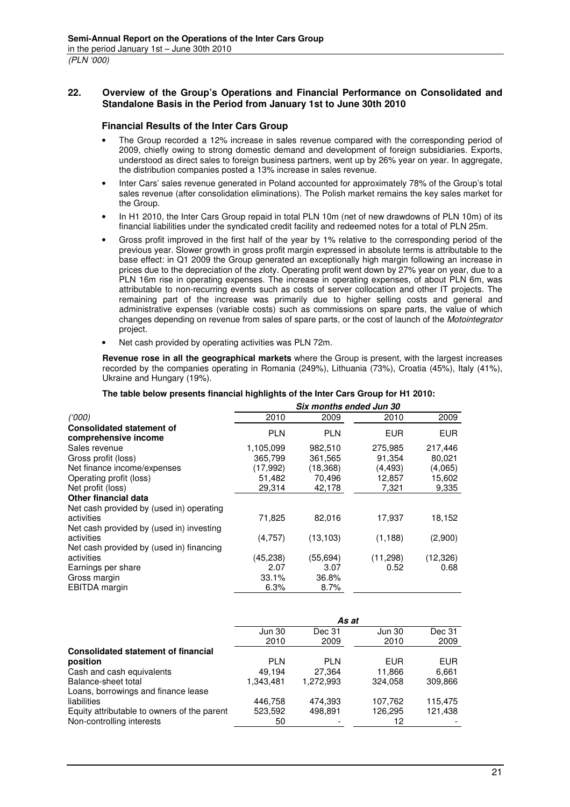### **22. Overview of the Group's Operations and Financial Performance on Consolidated and Standalone Basis in the Period from January 1st to June 30th 2010**

#### **Financial Results of the Inter Cars Group**

- The Group recorded a 12% increase in sales revenue compared with the corresponding period of 2009, chiefly owing to strong domestic demand and development of foreign subsidiaries. Exports, understood as direct sales to foreign business partners, went up by 26% year on year. In aggregate, the distribution companies posted a 13% increase in sales revenue.
- Inter Cars' sales revenue generated in Poland accounted for approximately 78% of the Group's total sales revenue (after consolidation eliminations). The Polish market remains the key sales market for the Group.
- In H1 2010, the Inter Cars Group repaid in total PLN 10m (net of new drawdowns of PLN 10m) of its financial liabilities under the syndicated credit facility and redeemed notes for a total of PLN 25m.
- Gross profit improved in the first half of the year by 1% relative to the corresponding period of the previous year. Slower growth in gross profit margin expressed in absolute terms is attributable to the base effect: in Q1 2009 the Group generated an exceptionally high margin following an increase in prices due to the depreciation of the złoty. Operating profit went down by 27% year on year, due to a PLN 16m rise in operating expenses. The increase in operating expenses, of about PLN 6m, was attributable to non-recurring events such as costs of server collocation and other IT projects. The remaining part of the increase was primarily due to higher selling costs and general and administrative expenses (variable costs) such as commissions on spare parts, the value of which changes depending on revenue from sales of spare parts, or the cost of launch of the Motointegrator project.
- Net cash provided by operating activities was PLN 72m.

**Revenue rose in all the geographical markets** where the Group is present, with the largest increases recorded by the companies operating in Romania (249%), Lithuania (73%), Croatia (45%), Italy (41%), Ukraine and Hungary (19%).

|                                                                                                    | Six months ended Jun 30 |            |            |            |  |
|----------------------------------------------------------------------------------------------------|-------------------------|------------|------------|------------|--|
| (1000)                                                                                             | 2010                    | 2009       | 2010       | 2009       |  |
| <b>Consolidated statement of</b><br>comprehensive income                                           | <b>PLN</b>              | <b>PLN</b> | <b>EUR</b> | <b>EUR</b> |  |
| Sales revenue                                                                                      | 1,105,099               | 982,510    | 275,985    | 217,446    |  |
| Gross profit (loss)                                                                                | 365,799                 | 361,565    | 91.354     | 80,021     |  |
| Net finance income/expenses                                                                        | (17,992)                | (18, 368)  | (4, 493)   | (4,065)    |  |
| Operating profit (loss)                                                                            | 51,482                  | 70,496     | 12,857     | 15,602     |  |
| Net profit (loss)                                                                                  | 29,314                  | 42,178     | 7,321      | 9,335      |  |
| Other financial data                                                                               |                         |            |            |            |  |
| Net cash provided by (used in) operating<br>activities<br>Net cash provided by (used in) investing | 71,825                  | 82,016     | 17,937     | 18,152     |  |
| activities<br>Net cash provided by (used in) financing                                             | (4,757)                 | (13, 103)  | (1, 188)   | (2,900)    |  |
| activities                                                                                         | (45, 238)               | (55, 694)  | (11, 298)  | (12, 326)  |  |
| Earnings per share                                                                                 | 2.07                    | 3.07       | 0.52       | 0.68       |  |
| Gross margin                                                                                       | 33.1%                   | 36.8%      |            |            |  |
| EBITDA margin                                                                                      | 6.3%                    | 8.7%       |            |            |  |

#### **The table below presents financial highlights of the Inter Cars Group for H1 2010:**

|                                             |               | As at      |               |            |
|---------------------------------------------|---------------|------------|---------------|------------|
|                                             | <b>Jun 30</b> | Dec 31     | <b>Jun 30</b> | Dec 31     |
|                                             | 2010          | 2009       | 2010          | 2009       |
| <b>Consolidated statement of financial</b>  |               |            |               |            |
| position                                    | <b>PLN</b>    | <b>PLN</b> | <b>EUR</b>    | <b>EUR</b> |
| Cash and cash equivalents                   | 49.194        | 27.364     | 11,866        | 6,661      |
| Balance-sheet total                         | 1.343.481     | 1.272.993  | 324.058       | 309,866    |
| Loans, borrowings and finance lease         |               |            |               |            |
| liabilities                                 | 446,758       | 474.393    | 107,762       | 115,475    |
| Equity attributable to owners of the parent | 523,592       | 498,891    | 126,295       | 121,438    |
| Non-controlling interests                   | 50            |            | 12            |            |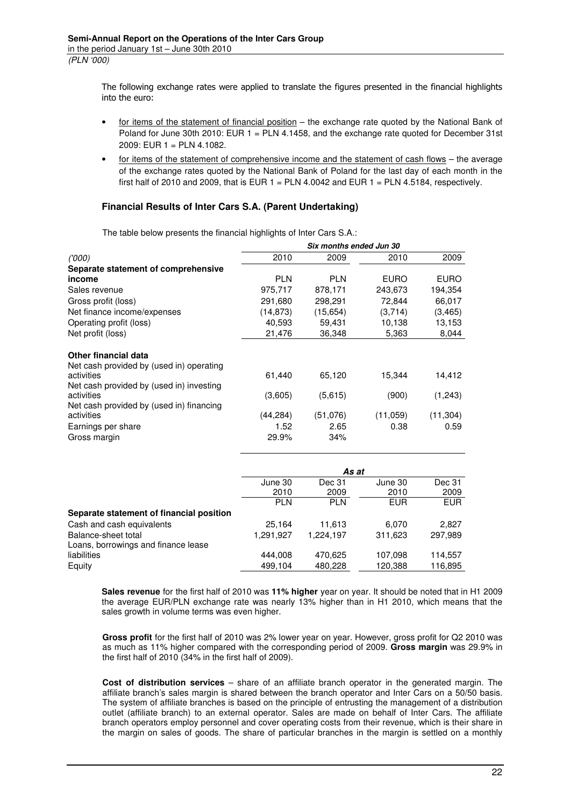The following exchange rates were applied to translate the figures presented in the financial highlights into the euro:

- for items of the statement of financial position the exchange rate quoted by the National Bank of Poland for June 30th 2010: EUR 1 = PLN 4.1458, and the exchange rate quoted for December 31st 2009: EUR 1 = PLN 4.1082.
- for items of the statement of comprehensive income and the statement of cash flows the average of the exchange rates quoted by the National Bank of Poland for the last day of each month in the first half of 2010 and 2009, that is EUR  $1 = PLN 4.0042$  and EUR  $1 = PLN 4.5184$ , respectively.

### **Financial Results of Inter Cars S.A. (Parent Undertaking)**

|                                          | Six months ended Jun 30 |            |             |             |  |
|------------------------------------------|-------------------------|------------|-------------|-------------|--|
| (000)                                    | 2010                    | 2009       | 2010        | 2009        |  |
| Separate statement of comprehensive      |                         |            |             |             |  |
| income                                   | <b>PLN</b>              | <b>PLN</b> | <b>EURO</b> | <b>EURO</b> |  |
| Sales revenue                            | 975,717                 | 878,171    | 243,673     | 194,354     |  |
| Gross profit (loss)                      | 291,680                 | 298,291    | 72,844      | 66,017      |  |
| Net finance income/expenses              | (14, 873)               | (15, 654)  | (3,714)     | (3, 465)    |  |
| Operating profit (loss)                  | 40,593                  | 59,431     | 10,138      | 13,153      |  |
| Net profit (loss)                        | 21,476                  | 36,348     | 5,363       | 8,044       |  |
| Other financial data                     |                         |            |             |             |  |
| Net cash provided by (used in) operating |                         |            |             |             |  |
| activities                               | 61.440                  | 65,120     | 15,344      | 14,412      |  |
| Net cash provided by (used in) investing |                         |            |             |             |  |
| activities                               | (3,605)                 | (5,615)    | (900)       | (1,243)     |  |
| Net cash provided by (used in) financing |                         |            |             |             |  |
| activities                               | (44, 284)               | (51,076)   | (11,059)    | (11, 304)   |  |
| Earnings per share                       | 1.52                    | 2.65       | 0.38        | 0.59        |  |
| Gross margin                             | 29.9%                   | 34%        |             |             |  |

The table below presents the financial highlights of Inter Cars S.A.:

|                                          |            | As at      |            |            |
|------------------------------------------|------------|------------|------------|------------|
|                                          | June 30    | Dec 31     | June 30    | Dec 31     |
|                                          | 2010       | 2009       | 2010       | 2009       |
|                                          | <b>PLN</b> | <b>PLN</b> | <b>EUR</b> | <b>EUR</b> |
| Separate statement of financial position |            |            |            |            |
| Cash and cash equivalents                | 25.164     | 11.613     | 6,070      | 2,827      |
| Balance-sheet total                      | 1,291,927  | 1,224,197  | 311,623    | 297,989    |
| Loans, borrowings and finance lease      |            |            |            |            |
| liabilities                              | 444.008    | 470.625    | 107,098    | 114,557    |
| Equity                                   | 499,104    | 480,228    | 120,388    | 116,895    |

**Sales revenue** for the first half of 2010 was **11% higher** year on year. It should be noted that in H1 2009 the average EUR/PLN exchange rate was nearly 13% higher than in H1 2010, which means that the sales growth in volume terms was even higher.

**Gross profit** for the first half of 2010 was 2% lower year on year. However, gross profit for Q2 2010 was as much as 11% higher compared with the corresponding period of 2009. **Gross margin** was 29.9% in the first half of 2010 (34% in the first half of 2009).

**Cost of distribution services** – share of an affiliate branch operator in the generated margin. The affiliate branch's sales margin is shared between the branch operator and Inter Cars on a 50/50 basis. The system of affiliate branches is based on the principle of entrusting the management of a distribution outlet (affiliate branch) to an external operator. Sales are made on behalf of Inter Cars. The affiliate branch operators employ personnel and cover operating costs from their revenue, which is their share in the margin on sales of goods. The share of particular branches in the margin is settled on a monthly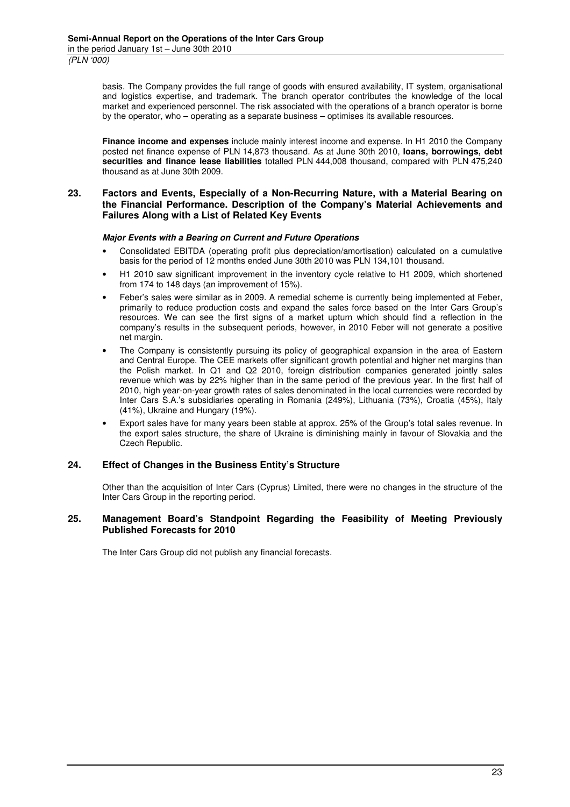basis. The Company provides the full range of goods with ensured availability, IT system, organisational and logistics expertise, and trademark. The branch operator contributes the knowledge of the local market and experienced personnel. The risk associated with the operations of a branch operator is borne by the operator, who – operating as a separate business – optimises its available resources.

**Finance income and expenses** include mainly interest income and expense. In H1 2010 the Company posted net finance expense of PLN 14,873 thousand. As at June 30th 2010, **loans, borrowings, debt securities and finance lease liabilities** totalled PLN 444,008 thousand, compared with PLN 475,240 thousand as at June 30th 2009.

#### **23. Factors and Events, Especially of a Non-Recurring Nature, with a Material Bearing on the Financial Performance. Description of the Company's Material Achievements and Failures Along with a List of Related Key Events**

#### **Major Events with a Bearing on Current and Future Operations**

- Consolidated EBITDA (operating profit plus depreciation/amortisation) calculated on a cumulative basis for the period of 12 months ended June 30th 2010 was PLN 134,101 thousand.
- H1 2010 saw significant improvement in the inventory cycle relative to H1 2009, which shortened from 174 to 148 days (an improvement of 15%).
- Feber's sales were similar as in 2009. A remedial scheme is currently being implemented at Feber, primarily to reduce production costs and expand the sales force based on the Inter Cars Group's resources. We can see the first signs of a market upturn which should find a reflection in the company's results in the subsequent periods, however, in 2010 Feber will not generate a positive net margin.
- The Company is consistently pursuing its policy of geographical expansion in the area of Eastern and Central Europe. The CEE markets offer significant growth potential and higher net margins than the Polish market. In Q1 and Q2 2010, foreign distribution companies generated jointly sales revenue which was by 22% higher than in the same period of the previous year. In the first half of 2010, high year-on-year growth rates of sales denominated in the local currencies were recorded by Inter Cars S.A.'s subsidiaries operating in Romania (249%), Lithuania (73%), Croatia (45%), Italy (41%), Ukraine and Hungary (19%).
- Export sales have for many years been stable at approx. 25% of the Group's total sales revenue. In the export sales structure, the share of Ukraine is diminishing mainly in favour of Slovakia and the Czech Republic.

#### **24. Effect of Changes in the Business Entity's Structure**

Other than the acquisition of Inter Cars (Cyprus) Limited, there were no changes in the structure of the Inter Cars Group in the reporting period.

#### **25. Management Board's Standpoint Regarding the Feasibility of Meeting Previously Published Forecasts for 2010**

The Inter Cars Group did not publish any financial forecasts.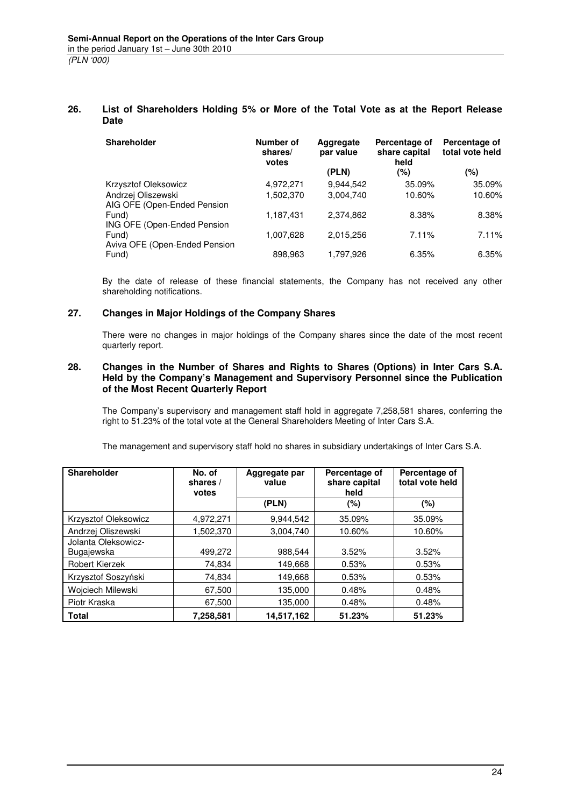#### **26. List of Shareholders Holding 5% or More of the Total Vote as at the Report Release Date**

| <b>Shareholder</b>                                | Number of<br>shares/<br>votes | Aggregate<br>par value | Percentage of<br>share capital<br>held | Percentage of<br>total vote held |
|---------------------------------------------------|-------------------------------|------------------------|----------------------------------------|----------------------------------|
|                                                   |                               | (PLN)                  | (%)                                    | (%)                              |
| Krzysztof Oleksowicz                              | 4,972,271                     | 9,944,542              | 35.09%                                 | 35.09%                           |
| Andrzej Oliszewski<br>AIG OFE (Open-Ended Pension | 1,502,370                     | 3,004,740              | 10.60%                                 | 10.60%                           |
| Fund)<br>ING OFE (Open-Ended Pension              | 1,187,431                     | 2,374,862              | 8.38%                                  | 8.38%                            |
| Fund)<br>Aviva OFE (Open-Ended Pension            | 1,007,628                     | 2,015,256              | 7.11%                                  | 7.11%                            |
| Fund)                                             | 898,963                       | 1,797,926              | 6.35%                                  | 6.35%                            |

By the date of release of these financial statements, the Company has not received any other shareholding notifications.

### **27. Changes in Major Holdings of the Company Shares**

There were no changes in major holdings of the Company shares since the date of the most recent quarterly report.

### **28. Changes in the Number of Shares and Rights to Shares (Options) in Inter Cars S.A. Held by the Company's Management and Supervisory Personnel since the Publication of the Most Recent Quarterly Report**

The Company's supervisory and management staff hold in aggregate 7,258,581 shares, conferring the right to 51.23% of the total vote at the General Shareholders Meeting of Inter Cars S.A.

The management and supervisory staff hold no shares in subsidiary undertakings of Inter Cars S.A.

| <b>Shareholder</b>                | No. of<br>shares /<br>votes | Aggregate par<br>value | Percentage of<br>share capital<br>held | Percentage of<br>total vote held |
|-----------------------------------|-----------------------------|------------------------|----------------------------------------|----------------------------------|
|                                   |                             | (PLN)                  | $(\%)$                                 | (%)                              |
| Krzysztof Oleksowicz              | 4,972,271                   | 9,944,542              | 35.09%                                 | 35.09%                           |
| Andrzej Oliszewski                | 1,502,370                   | 3.004.740              | 10.60%                                 | 10.60%                           |
| Jolanta Oleksowicz-<br>Bugajewska | 499,272                     | 988,544                | 3.52%                                  | 3.52%                            |
| <b>Robert Kierzek</b>             | 74,834                      | 149,668                | 0.53%                                  | 0.53%                            |
| Krzysztof Soszyński               | 74,834                      | 149,668                | 0.53%                                  | 0.53%                            |
| Wojciech Milewski                 | 67,500                      | 135,000                | 0.48%                                  | 0.48%                            |
| Piotr Kraska                      | 67,500                      | 135,000                | 0.48%                                  | 0.48%                            |
| <b>Total</b>                      | 7,258,581                   | 14,517,162             | 51.23%                                 | 51.23%                           |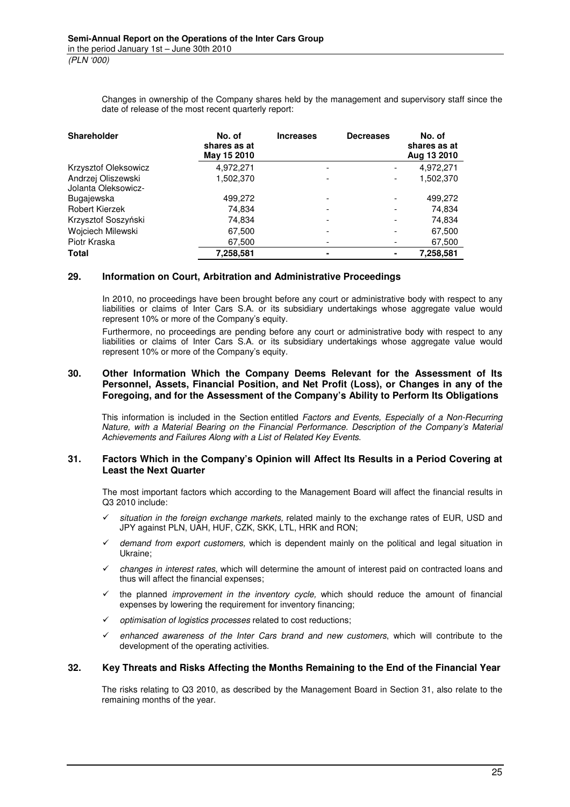Changes in ownership of the Company shares held by the management and supervisory staff since the date of release of the most recent quarterly report:

| <b>Shareholder</b>                        | No. of<br>shares as at<br>May 15 2010 | <b>Increases</b> | <b>Decreases</b> | No. of<br>shares as at<br>Aug 13 2010 |
|-------------------------------------------|---------------------------------------|------------------|------------------|---------------------------------------|
| Krzysztof Oleksowicz                      | 4,972,271                             | -                |                  | 4,972,271                             |
| Andrzej Oliszewski<br>Jolanta Oleksowicz- | 1,502,370                             |                  |                  | 1,502,370                             |
| Bugajewska                                | 499,272                               |                  |                  | 499,272                               |
| <b>Robert Kierzek</b>                     | 74,834                                |                  |                  | 74,834                                |
| Krzysztof Soszyński                       | 74,834                                |                  |                  | 74,834                                |
| Wojciech Milewski                         | 67,500                                |                  |                  | 67,500                                |
| Piotr Kraska                              | 67,500                                |                  |                  | 67,500                                |
| <b>Total</b>                              | 7,258,581                             |                  |                  | 7,258,581                             |

#### **29. Information on Court, Arbitration and Administrative Proceedings**

In 2010, no proceedings have been brought before any court or administrative body with respect to any liabilities or claims of Inter Cars S.A. or its subsidiary undertakings whose aggregate value would represent 10% or more of the Company's equity.

Furthermore, no proceedings are pending before any court or administrative body with respect to any liabilities or claims of Inter Cars S.A. or its subsidiary undertakings whose aggregate value would represent 10% or more of the Company's equity.

#### **30. Other Information Which the Company Deems Relevant for the Assessment of Its Personnel, Assets, Financial Position, and Net Profit (Loss), or Changes in any of the Foregoing, and for the Assessment of the Company's Ability to Perform Its Obligations**

This information is included in the Section entitled Factors and Events, Especially of a Non-Recurring Nature, with a Material Bearing on the Financial Performance. Description of the Company's Material Achievements and Failures Along with a List of Related Key Events.

#### **31. Factors Which in the Company's Opinion will Affect Its Results in a Period Covering at Least the Next Quarter**

The most important factors which according to the Management Board will affect the financial results in Q3 2010 include:

- $\checkmark$  situation in the foreign exchange markets, related mainly to the exchange rates of EUR, USD and JPY against PLN, UAH, HUF, CZK, SKK, LTL, HRK and RON;
- $\checkmark$  demand from export customers, which is dependent mainly on the political and legal situation in Ukraine;
- changes in interest rates, which will determine the amount of interest paid on contracted loans and thus will affect the financial expenses;
- the planned improvement in the inventory cycle, which should reduce the amount of financial expenses by lowering the requirement for inventory financing;
- optimisation of logistics processes related to cost reductions;
- enhanced awareness of the Inter Cars brand and new customers, which will contribute to the development of the operating activities.

### **32. Key Threats and Risks Affecting the Months Remaining to the End of the Financial Year**

The risks relating to Q3 2010, as described by the Management Board in Section 31, also relate to the remaining months of the year.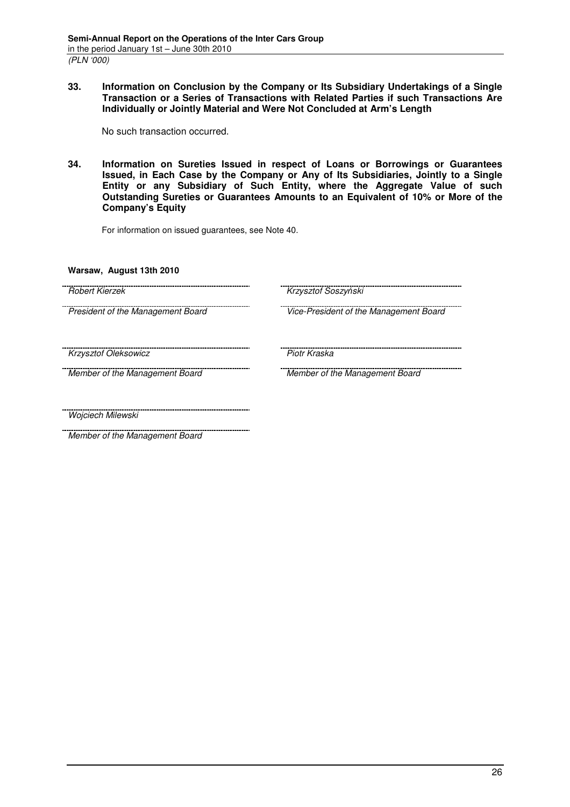**33. Information on Conclusion by the Company or Its Subsidiary Undertakings of a Single Transaction or a Series of Transactions with Related Parties if such Transactions Are Individually or Jointly Material and Were Not Concluded at Arm's Length** 

No such transaction occurred.

**34. Information on Sureties Issued in respect of Loans or Borrowings or Guarantees Issued, in Each Case by the Company or Any of Its Subsidiaries, Jointly to a Single Entity or any Subsidiary of Such Entity, where the Aggregate Value of such Outstanding Sureties or Guarantees Amounts to an Equivalent of 10% or More of the Company's Equity** 

For information on issued guarantees, see Note 40.

**Warsaw, August 13th 2010** 

| Robert Kierzek                    | Krzysztof Soszyński                    |
|-----------------------------------|----------------------------------------|
|                                   |                                        |
| President of the Management Board | Vice-President of the Management Board |
|                                   |                                        |
|                                   |                                        |
| <b>Krzysztof Oleksowicz</b>       | Piotr Kraska                           |
| Member of the Management Board    | Member of the Management Board         |
|                                   |                                        |
|                                   |                                        |
|                                   |                                        |
| Wojciech Milewski                 |                                        |
| Member of the Management Board    |                                        |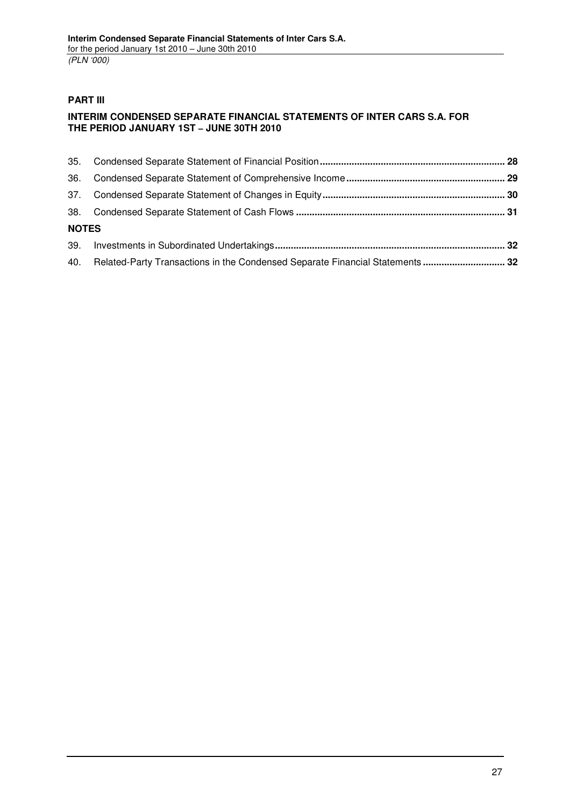## **PART III**

## **INTERIM CONDENSED SEPARATE FINANCIAL STATEMENTS OF INTER CARS S.A. FOR THE PERIOD JANUARY 1ST – JUNE 30TH 2010**

| 36.          |                                                                                   |  |
|--------------|-----------------------------------------------------------------------------------|--|
| 37.          |                                                                                   |  |
|              |                                                                                   |  |
| <b>NOTES</b> |                                                                                   |  |
|              |                                                                                   |  |
|              | 40. Related-Party Transactions in the Condensed Separate Financial Statements  32 |  |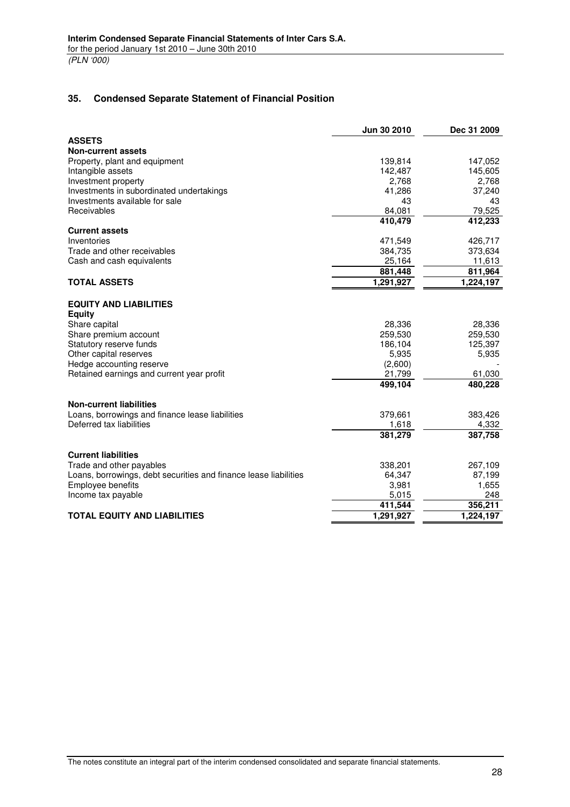### **35. Condensed Separate Statement of Financial Position**

|                                                                  | Jun 30 2010 | Dec 31 2009 |
|------------------------------------------------------------------|-------------|-------------|
| <b>ASSETS</b>                                                    |             |             |
| <b>Non-current assets</b>                                        |             |             |
| Property, plant and equipment                                    | 139,814     | 147,052     |
| Intangible assets                                                | 142,487     | 145,605     |
| Investment property                                              | 2,768       | 2,768       |
| Investments in subordinated undertakings                         | 41,286      | 37,240      |
| Investments available for sale                                   | 43          | 43          |
| Receivables                                                      | 84,081      | 79,525      |
|                                                                  | 410,479     | 412,233     |
| <b>Current assets</b>                                            |             |             |
| Inventories                                                      | 471,549     | 426,717     |
| Trade and other receivables                                      | 384,735     | 373,634     |
| Cash and cash equivalents                                        | 25,164      | 11,613      |
|                                                                  | 881,448     | 811,964     |
| <b>TOTAL ASSETS</b>                                              | 1,291,927   | 1,224,197   |
| <b>EQUITY AND LIABILITIES</b><br><b>Equity</b>                   |             |             |
| Share capital                                                    | 28,336      | 28,336      |
| Share premium account                                            | 259,530     | 259,530     |
| Statutory reserve funds                                          | 186,104     | 125,397     |
| Other capital reserves                                           | 5,935       | 5,935       |
| Hedge accounting reserve                                         | (2,600)     |             |
| Retained earnings and current year profit                        | 21,799      | 61,030      |
|                                                                  | 499,104     | 480,228     |
|                                                                  |             |             |
| <b>Non-current liabilities</b>                                   |             |             |
| Loans, borrowings and finance lease liabilities                  | 379,661     | 383,426     |
| Deferred tax liabilities                                         | 1,618       | 4,332       |
|                                                                  | 381,279     | 387,758     |
| <b>Current liabilities</b>                                       |             |             |
| Trade and other payables                                         | 338,201     | 267,109     |
| Loans, borrowings, debt securities and finance lease liabilities | 64,347      | 87,199      |
| Employee benefits                                                | 3,981       | 1,655       |
| Income tax payable                                               | 5,015       | 248         |
|                                                                  | 411,544     | 356,211     |
| <b>TOTAL EQUITY AND LIABILITIES</b>                              | 1,291,927   | 1,224,197   |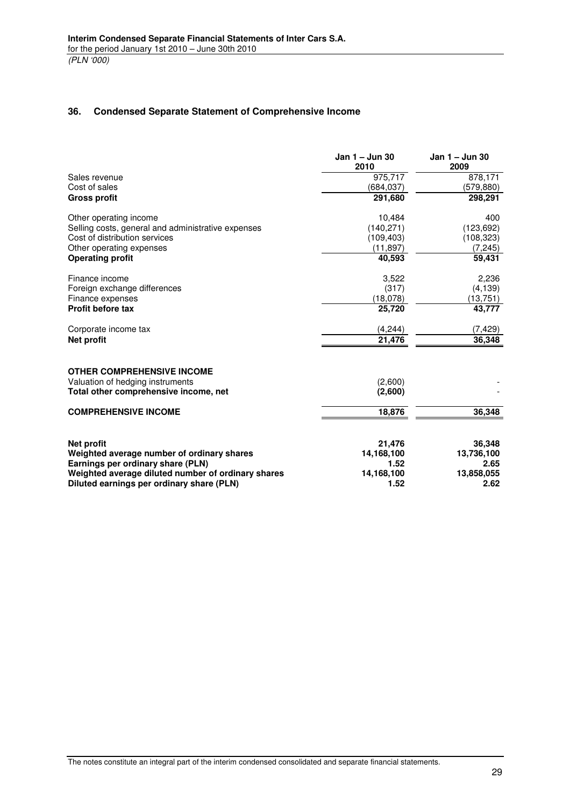### **36. Condensed Separate Statement of Comprehensive Income**

|                                                    | Jan 1 - Jun 30<br>2010 | Jan 1 - Jun 30<br>2009 |
|----------------------------------------------------|------------------------|------------------------|
| Sales revenue                                      | 975,717                | 878,171                |
| Cost of sales                                      | (684, 037)             | (579, 880)             |
| <b>Gross profit</b>                                | 291,680                | 298,291                |
| Other operating income                             | 10,484                 | 400                    |
| Selling costs, general and administrative expenses | (140, 271)             | (123, 692)             |
| Cost of distribution services                      | (109, 403)             | (108, 323)             |
| Other operating expenses                           | (11, 897)              | (7, 245)               |
| <b>Operating profit</b>                            | 40,593                 | 59,431                 |
| Finance income                                     | 3,522                  | 2,236                  |
| Foreign exchange differences                       | (317)                  | (4, 139)               |
| Finance expenses                                   | (18,078)               | (13, 751)              |
| <b>Profit before tax</b>                           | 25,720                 | 43,777                 |
| Corporate income tax                               | (4, 244)               | (7, 429)               |
| <b>Net profit</b>                                  | 21,476                 | 36,348                 |
| <b>OTHER COMPREHENSIVE INCOME</b>                  |                        |                        |
| Valuation of hedging instruments                   | (2,600)                |                        |
| Total other comprehensive income, net              | (2,600)                |                        |
| <b>COMPREHENSIVE INCOME</b>                        | 18,876                 | 36,348                 |
|                                                    |                        |                        |
| <b>Net profit</b>                                  | 21,476                 | 36,348                 |
| Weighted average number of ordinary shares         | 14,168,100             | 13,736,100             |
| Earnings per ordinary share (PLN)                  | 1.52                   | 2.65                   |
| Weighted average diluted number of ordinary shares | 14,168,100             | 13,858,055             |
| Diluted earnings per ordinary share (PLN)          | 1.52                   | 2.62                   |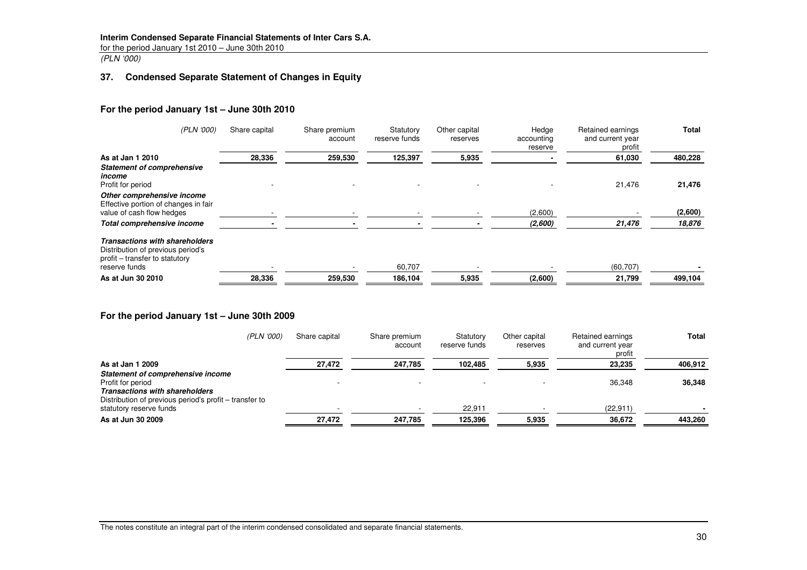#### **Interim Condensed Separate Financial Statements of Inter Cars S.A.**

for the period January 1st 2010 – June 30th 2010

(PLN '000)

### **37. Condensed Separate Statement of Changes in Equity**

#### **For the period January 1st – June 30th 2010**

| (PLN '000)                                                                                                                    | Share capital | Share premium<br>account | Statutory<br>reserve funds | Other capital<br>reserves | Hedge<br>accounting<br>reserve | Retained earnings<br>and current year<br>profit | <b>Total</b> |
|-------------------------------------------------------------------------------------------------------------------------------|---------------|--------------------------|----------------------------|---------------------------|--------------------------------|-------------------------------------------------|--------------|
| As at Jan 1 2010                                                                                                              | 28,336        | 259,530                  | 125,397                    | 5,935                     |                                | 61,030                                          | 480,228      |
| <b>Statement of comprehensive</b><br>income<br>Profit for period                                                              |               |                          |                            |                           |                                | 21,476                                          | 21,476       |
| Other comprehensive income<br>Effective portion of changes in fair<br>value of cash flow hedges                               |               |                          |                            |                           | (2,600)                        |                                                 | (2,600)      |
| Total comprehensive income                                                                                                    |               |                          |                            |                           | (2,600)                        | 21,476                                          | 18,876       |
| <b>Transactions with shareholders</b><br>Distribution of previous period's<br>profit – transfer to statutory<br>reserve funds |               |                          | 60,707                     |                           |                                | (60, 707)                                       |              |
|                                                                                                                               |               |                          |                            |                           |                                |                                                 |              |
| As at Jun 30 2010                                                                                                             | 28,336        | 259,530                  | 186,104                    | 5,935                     | (2,600)                        | 21,799                                          | 499,104      |

#### **For the period January 1st – June 30th 2009**

| (PLN '000)                                             | Share capital | Share premium<br>account | Statutory<br>reserve funds | Other capital<br>reserves | Retained earnings<br>and current year<br>profit | Total   |
|--------------------------------------------------------|---------------|--------------------------|----------------------------|---------------------------|-------------------------------------------------|---------|
| As at Jan 1 2009                                       | 27,472        | 247,785                  | 102,485                    | 5,935                     | 23,235                                          | 406,912 |
| Statement of comprehensive income                      |               |                          |                            |                           |                                                 |         |
| Profit for period                                      |               |                          |                            |                           | 36.348                                          | 36,348  |
| <b>Transactions with shareholders</b>                  |               |                          |                            |                           |                                                 |         |
| Distribution of previous period's profit – transfer to |               |                          |                            |                           |                                                 |         |
| statutory reserve funds                                |               |                          | 22,911                     |                           | (22, 911)                                       |         |
| As at Jun 30 2009                                      | 27.472        | 247.785                  | 125.396                    | 5,935                     | 36.672                                          | 443.260 |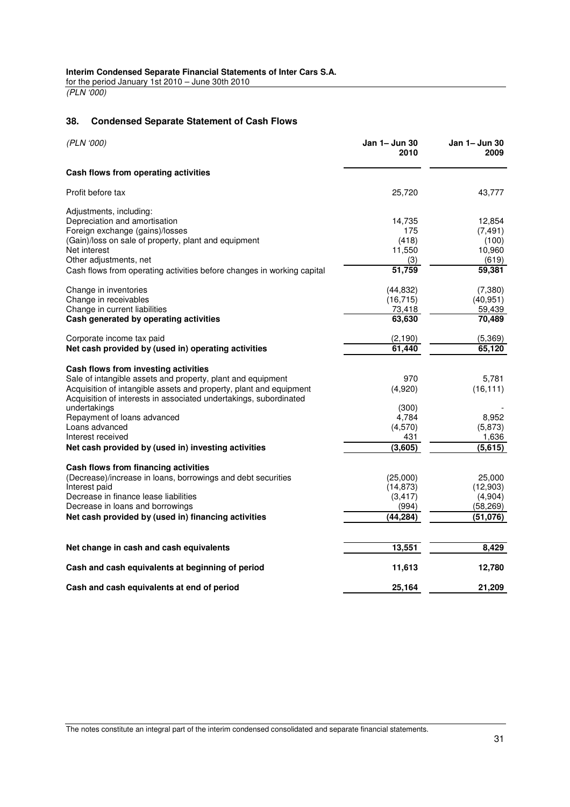for the period January 1st 2010 – June 30th 2010 (PLN '000)

### **38. Condensed Separate Statement of Cash Flows**

| (PLN '000)                                                             | Jan 1- Jun 30<br>2010 | Jan 1– Jun 30<br>2009 |
|------------------------------------------------------------------------|-----------------------|-----------------------|
| Cash flows from operating activities                                   |                       |                       |
| Profit before tax                                                      | 25,720                | 43,777                |
| Adjustments, including:                                                |                       |                       |
| Depreciation and amortisation                                          | 14,735                | 12,854                |
| Foreign exchange (gains)/losses                                        | 175                   | (7, 491)              |
| (Gain)/loss on sale of property, plant and equipment                   | (418)                 | (100)                 |
| Net interest                                                           | 11,550                | 10,960                |
| Other adjustments, net                                                 | (3)                   | (619)                 |
| Cash flows from operating activities before changes in working capital | 51,759                | 59,381                |
| Change in inventories                                                  | (44, 832)             | (7, 380)              |
| Change in receivables                                                  | (16, 715)             | (40, 951)             |
| Change in current liabilities                                          | 73,418                | 59,439                |
| Cash generated by operating activities                                 | 63,630                | 70,489                |
| Corporate income tax paid                                              | (2, 190)              | (5,369)               |
| Net cash provided by (used in) operating activities                    | 61,440                | 65,120                |
| Cash flows from investing activities                                   |                       |                       |
| Sale of intangible assets and property, plant and equipment            | 970                   | 5,781                 |
| Acquisition of intangible assets and property, plant and equipment     | (4,920)               | (16, 111)             |
| Acquisition of interests in associated undertakings, subordinated      |                       |                       |
| undertakings                                                           | (300)                 |                       |
| Repayment of loans advanced                                            | 4,784                 | 8,952                 |
| Loans advanced                                                         | (4,570)               | (5,873)               |
| Interest received                                                      | 431                   | 1,636                 |
| Net cash provided by (used in) investing activities                    | (3,605)               | (5,615)               |
| Cash flows from financing activities                                   |                       |                       |
| (Decrease)/increase in loans, borrowings and debt securities           | (25,000)              | 25,000                |
| Interest paid                                                          | (14, 873)             | (12,903)              |
| Decrease in finance lease liabilities                                  | (3, 417)              | (4,904)               |
| Decrease in loans and borrowings                                       | (994)                 | (58, 269)             |
| Net cash provided by (used in) financing activities                    | (44,284)              | (51, 076)             |
|                                                                        |                       |                       |
| Net change in cash and cash equivalents                                | 13,551                | 8,429                 |
|                                                                        |                       |                       |
| Cash and cash equivalents at beginning of period                       | 11,613                | 12,780                |
| Cash and cash equivalents at end of period                             | 25,164                | 21,209                |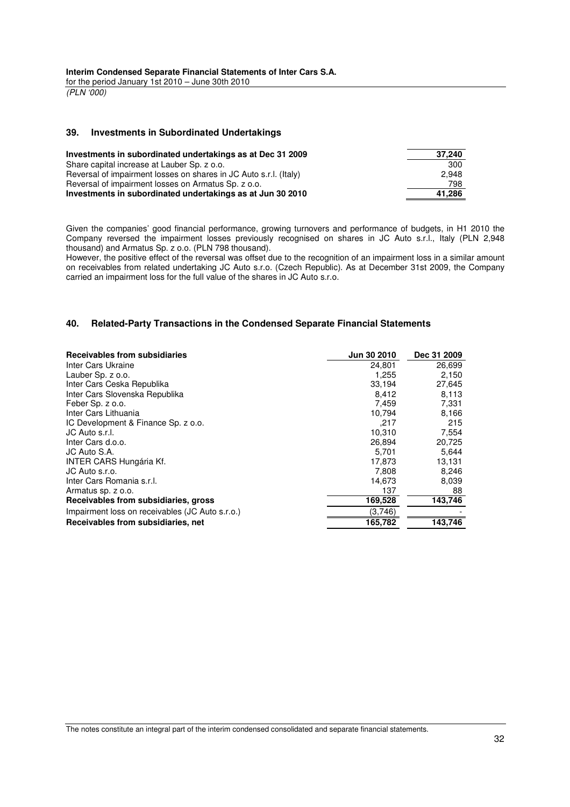for the period January 1st 2010 – June 30th 2010 (PLN '000)

#### **39. Investments in Subordinated Undertakings**

| Investments in subordinated undertakings as at Dec 31 2009        | 37,240 |
|-------------------------------------------------------------------|--------|
| Share capital increase at Lauber Sp. z o.o.                       | 300    |
| Reversal of impairment losses on shares in JC Auto s.r.l. (Italy) | 2.948  |
| Reversal of impairment losses on Armatus Sp. z o.o.               | 798    |
| Investments in subordinated undertakings as at Jun 30 2010        | 41.286 |

Given the companies' good financial performance, growing turnovers and performance of budgets, in H1 2010 the Company reversed the impairment losses previously recognised on shares in JC Auto s.r.l., Italy (PLN 2,948 thousand) and Armatus Sp. z o.o. (PLN 798 thousand).

However, the positive effect of the reversal was offset due to the recognition of an impairment loss in a similar amount on receivables from related undertaking JC Auto s.r.o. (Czech Republic). As at December 31st 2009, the Company carried an impairment loss for the full value of the shares in JC Auto s.r.o.

#### **40. Related-Party Transactions in the Condensed Separate Financial Statements**

| Receivables from subsidiaries                   | <b>Jun 30 2010</b> | Dec 31 2009 |
|-------------------------------------------------|--------------------|-------------|
| Inter Cars Ukraine                              | 24.801             | 26,699      |
| Lauber Sp. z o.o.                               | 1,255              | 2,150       |
| Inter Cars Ceska Republika                      | 33,194             | 27,645      |
| Inter Cars Slovenska Republika                  | 8,412              | 8,113       |
| Feber Sp. z o.o.                                | 7,459              | 7,331       |
| Inter Cars Lithuania                            | 10,794             | 8,166       |
| IC Development & Finance Sp. z o.o.             | .217               | 215         |
| JC Auto s.r.l.                                  | 10,310             | 7,554       |
| Inter Cars d.o.o.                               | 26,894             | 20,725      |
| JC Auto S.A.                                    | 5,701              | 5,644       |
| INTER CARS Hungária Kf.                         | 17,873             | 13,131      |
| JC Auto s.r.o.                                  | 7,808              | 8,246       |
| Inter Cars Romania s.r.l.                       | 14,673             | 8,039       |
| Armatus sp. z o.o.                              | 137                | 88          |
| Receivables from subsidiaries, gross            | 169,528            | 143,746     |
| Impairment loss on receivables (JC Auto s.r.o.) | (3,746)            |             |
| Receivables from subsidiaries, net              | 165,782            | 143,746     |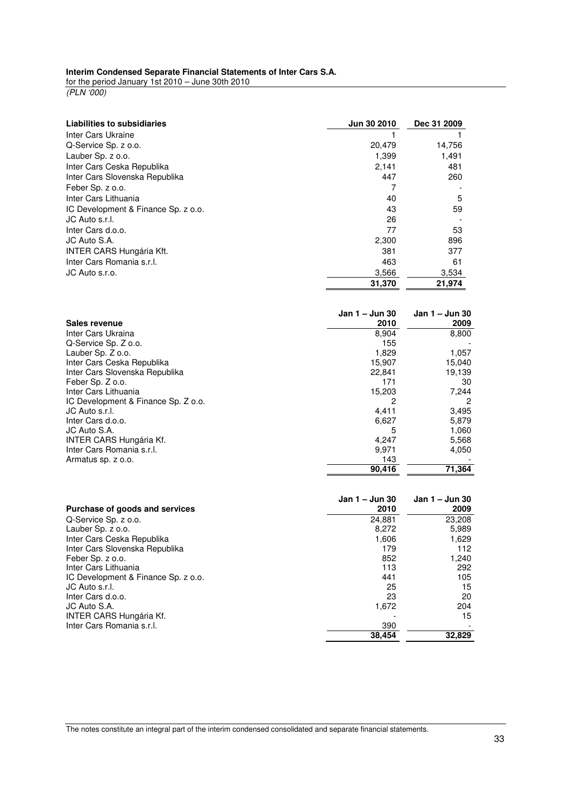### **Interim Condensed Separate Financial Statements of Inter Cars S.A.**

for the period January 1st 2010 – June 30th 2010

(PLN '000)

| Liabilities to subsidiaries         | Jun 30 2010            | Dec 31 2009            |
|-------------------------------------|------------------------|------------------------|
| Inter Cars Ukraine                  |                        |                        |
| Q-Service Sp. z o.o.                | 20,479                 | 14,756                 |
| Lauber Sp. z o.o.                   | 1,399                  | 1,491                  |
| Inter Cars Ceska Republika          | 2,141                  | 481                    |
| Inter Cars Slovenska Republika      | 447                    | 260                    |
| Feber Sp. z o.o.                    | 7                      |                        |
| Inter Cars Lithuania                | 40                     | 5                      |
| IC Development & Finance Sp. z o.o. | 43                     | 59                     |
| JC Auto s.r.l.                      | 26                     |                        |
| Inter Cars d.o.o.                   | 77                     | 53                     |
| JC Auto S.A.                        | 2,300                  | 896                    |
| <b>INTER CARS Hungária Kft.</b>     | 381                    | 377                    |
| Inter Cars Romania s.r.l.           | 463                    | 61                     |
| JC Auto s.r.o.                      | 3,566                  | 3,534                  |
|                                     | 31,370                 | 21,974                 |
| Sales revenue                       | Jan 1 – Jun 30<br>2010 | Jan 1 – Jun 30<br>2009 |
| Inter Cars Ukraina                  | 8,904                  | 8,800                  |
| Q-Service Sp. Z o.o.                | 155                    |                        |
| Lauber Sp. Z o.o.                   | 1,829                  | 1,057                  |
| Inter Cars Ceska Republika          | 15,907                 | 15,040                 |
| Inter Cars Slovenska Republika      | 22,841                 | 19,139                 |
| Feber Sp. Z o.o.                    | 171                    | 30                     |
| Inter Cars Lithuania                | 15,203                 | 7,244                  |
| IC Development & Finance Sp. Z o.o. |                        |                        |

| Feber Sp. Z o.o.                    | 171    | 30     |
|-------------------------------------|--------|--------|
| Inter Cars Lithuania                | 15.203 | 7.244  |
| IC Development & Finance Sp. Z o.o. |        |        |
| JC Auto s.r.l.                      | 4.411  | 3,495  |
| Inter Cars d.o.o.                   | 6,627  | 5,879  |
| JC Auto S.A.                        | 5      | 1,060  |
| <b>INTER CARS Hungária Kf.</b>      | 4.247  | 5,568  |
| Inter Cars Romania s.r.l.           | 9.971  | 4,050  |
| Armatus sp. z o.o.                  | 143    |        |
|                                     | 90.416 | 71,364 |
|                                     |        |        |

|                                     | Jan 1 – Jun 30 | Jan 1 – Jun 30 |
|-------------------------------------|----------------|----------------|
| Purchase of goods and services      | 2010           | 2009           |
| Q-Service Sp. z o.o.                | 24,881         | 23,208         |
| Lauber Sp. z o.o.                   | 8.272          | 5,989          |
| Inter Cars Ceska Republika          | 1,606          | 1.629          |
| Inter Cars Slovenska Republika      | 179            | 112            |
| Feber Sp. z o.o.                    | 852            | 1.240          |
| Inter Cars Lithuania                | 113            | 292            |
| IC Development & Finance Sp. z o.o. | 441            | 105            |
| JC Auto s.r.l.                      | 25             | 15             |
| Inter Cars d.o.o.                   | 23             | 20             |
| JC Auto S.A.                        | 1,672          | 204            |
| INTER CARS Hungária Kf.             |                | 15             |
| Inter Cars Romania s.r.l.           | 390            |                |
|                                     | 38.454         | 32.829         |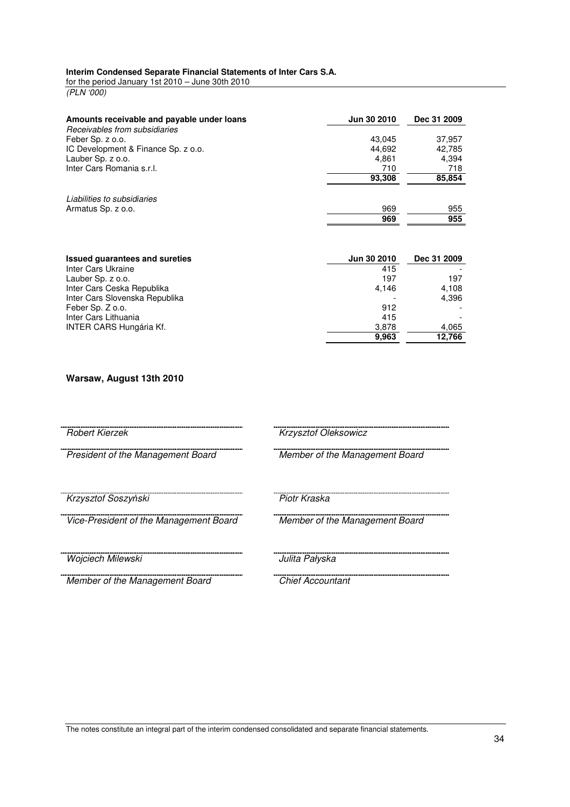#### **Interim Condensed Separate Financial Statements of Inter Cars S.A.**

for the period January 1st 2010 – June 30th 2010 (PLN '000)

| Amounts receivable and payable under loans<br>Receivables from subsidiaries | Jun 30 2010 | Dec 31 2009 |
|-----------------------------------------------------------------------------|-------------|-------------|
| Feber Sp. z o.o.                                                            | 43.045      | 37,957      |
| IC Development & Finance Sp. z o.o.                                         | 44.692      | 42.785      |
| Lauber Sp. z o.o.                                                           | 4.861       | 4,394       |
| Inter Cars Romania s.r.l.                                                   | 710         | 718         |
|                                                                             | 93,308      | 85,854      |
| Liabilities to subsidiaries<br>Armatus Sp. z o.o.                           | 969         | 955         |
|                                                                             | 969         | 955         |

| <b>Issued quarantees and sureties</b> | <b>Jun 30 2010</b> | Dec 31 2009 |
|---------------------------------------|--------------------|-------------|
| Inter Cars Ukraine                    | 415                |             |
| Lauber Sp. z o.o.                     | 197                | 197         |
| Inter Cars Ceska Republika            | 4.146              | 4.108       |
| Inter Cars Slovenska Republika        |                    | 4.396       |
| Feber Sp. Z o.o.                      | 912                |             |
| Inter Cars Lithuania                  | 415                |             |
| INTER CARS Hungária Kf.               | 3,878              | 4,065       |
|                                       | 9,963              | 12,766      |

#### **Warsaw, August 13th 2010**

Robert Kierzek Krzysztof Oleksowicz

President of the Management Board Member of the Management Board

Krzysztof Soszyński Piotr Kraska

Vice-President of the Management Board Member of the Management Board

Wojciech Milewski **Wojciech Milewski** Julita Pałyska

Member of the Management Board Chief Accountant

-----------------------------

The notes constitute an integral part of the interim condensed consolidated and separate financial statements.

. . . . .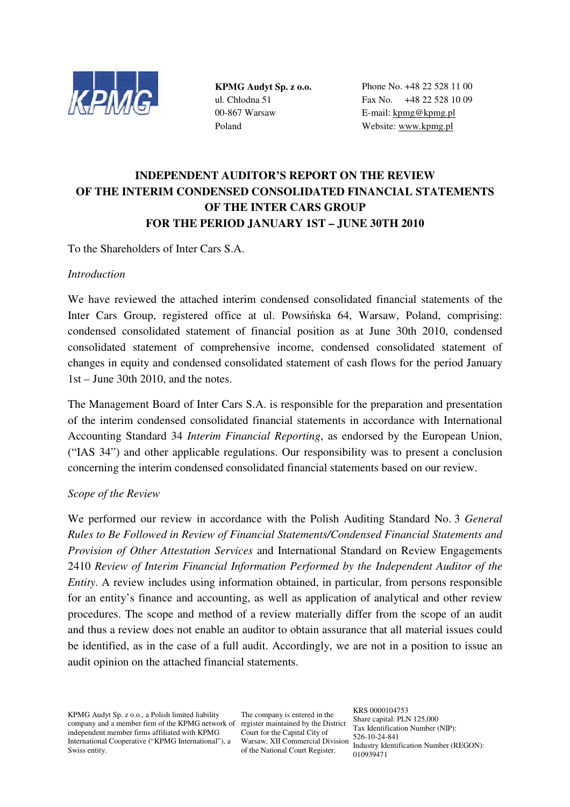

**KPMG Audyt Sp. z o.o.**  ul. Chłodna 51 00-867 Warsaw Poland

Phone No. +48 22 528 11 00 Fax No. +48 22 528 10 09 E-mail: kpmg@kpmg.pl Website: www.kpmg.pl

# **INDEPENDENT AUDITOR'S REPORT ON THE REVIEW OF THE INTERIM CONDENSED CONSOLIDATED FINANCIAL STATEMENTS OF THE INTER CARS GROUP FOR THE PERIOD JANUARY 1ST – JUNE 30TH 2010**

To the Shareholders of Inter Cars S.A.

## *Introduction*

We have reviewed the attached interim condensed consolidated financial statements of the Inter Cars Group, registered office at ul. Powsińska 64, Warsaw, Poland, comprising: condensed consolidated statement of financial position as at June 30th 2010, condensed consolidated statement of comprehensive income, condensed consolidated statement of changes in equity and condensed consolidated statement of cash flows for the period January 1st – June 30th 2010, and the notes.

The Management Board of Inter Cars S.A. is responsible for the preparation and presentation of the interim condensed consolidated financial statements in accordance with International Accounting Standard 34 *Interim Financial Reporting*, as endorsed by the European Union, ("IAS 34") and other applicable regulations. Our responsibility was to present a conclusion concerning the interim condensed consolidated financial statements based on our review.

## *Scope of the Review*

We performed our review in accordance with the Polish Auditing Standard No. 3 *General Rules to Be Followed in Review of Financial Statements/Condensed Financial Statements and Provision of Other Attestation Services* and International Standard on Review Engagements 2410 *Review of Interim Financial Information Performed by the Independent Auditor of the Entity*. A review includes using information obtained, in particular, from persons responsible for an entity's finance and accounting, as well as application of analytical and other review procedures. The scope and method of a review materially differ from the scope of an audit and thus a review does not enable an auditor to obtain assurance that all material issues could be identified, as in the case of a full audit. Accordingly, we are not in a position to issue an audit opinion on the attached financial statements.

KPMG Audyt Sp. z o.o., a Polish limited liability company and a member firm of the KPMG network of register maintained by the District independent member firms affiliated with KPMG International Cooperative ("KPMG International"), a Swiss entity.

The company is entered in the Court for the Capital City of Warsaw, XII Commercial Division of the National Court Register.

KRS 0000104753 Share capital: PLN 125,000 Tax Identification Number (NIP): 526-10-24-841 Industry Identification Number (REGON): 010939471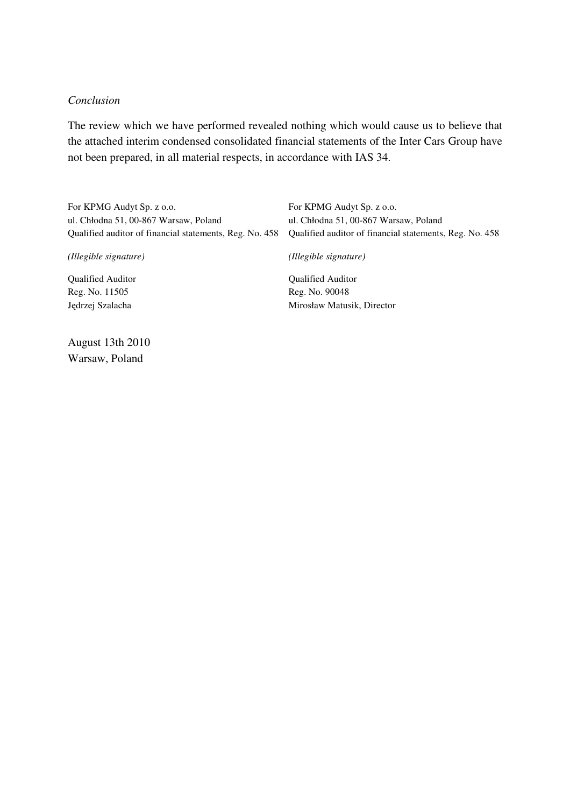### *Conclusion*

The review which we have performed revealed nothing which would cause us to believe that the attached interim condensed consolidated financial statements of the Inter Cars Group have not been prepared, in all material respects, in accordance with IAS 34.

For KPMG Audyt Sp. z o.o. ul. Chłodna 51, 00-867 Warsaw, Poland Qualified auditor of financial statements, Reg. No. 458 *(Illegible signature)*  Qualified Auditor Reg. No. 11505 Jędrzej Szalacha For KPMG Audyt Sp. z o.o. ul. Chłodna 51, 00-867 Warsaw, Poland Qualified auditor of financial statements, Reg. No. 458 *(Illegible signature)*  Qualified Auditor Reg. No. 90048 Mirosław Matusik, Director

August 13th 2010 Warsaw, Poland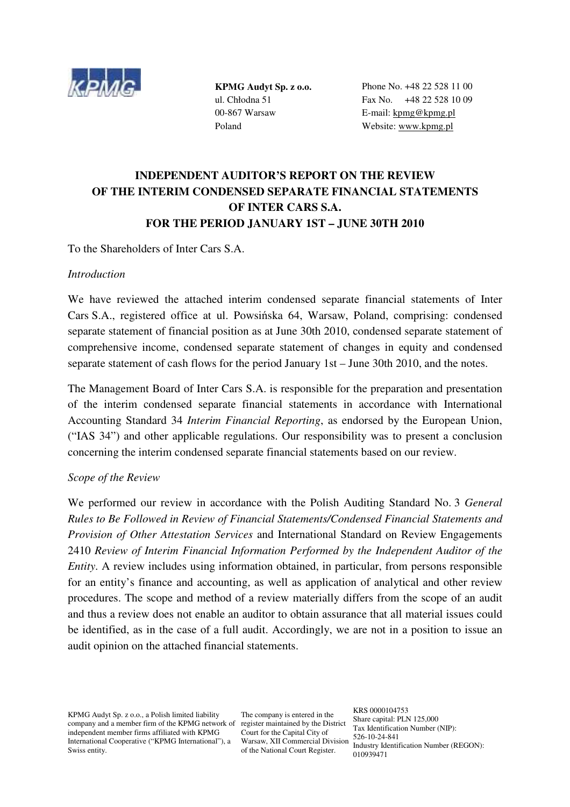

**KPMG Audyt Sp. z o.o.**  ul. Chłodna 51 00-867 Warsaw Poland

Phone No. +48 22 528 11 00 Fax No. +48 22 528 10 09 E-mail: kpmg@kpmg.pl Website: www.kpmg.pl

# **INDEPENDENT AUDITOR'S REPORT ON THE REVIEW OF THE INTERIM CONDENSED SEPARATE FINANCIAL STATEMENTS OF INTER CARS S.A. FOR THE PERIOD JANUARY 1ST – JUNE 30TH 2010**

To the Shareholders of Inter Cars S.A.

## *Introduction*

We have reviewed the attached interim condensed separate financial statements of Inter Cars S.A., registered office at ul. Powsińska 64, Warsaw, Poland, comprising: condensed separate statement of financial position as at June 30th 2010, condensed separate statement of comprehensive income, condensed separate statement of changes in equity and condensed separate statement of cash flows for the period January 1st – June 30th 2010, and the notes.

The Management Board of Inter Cars S.A. is responsible for the preparation and presentation of the interim condensed separate financial statements in accordance with International Accounting Standard 34 *Interim Financial Reporting*, as endorsed by the European Union, ("IAS 34") and other applicable regulations. Our responsibility was to present a conclusion concerning the interim condensed separate financial statements based on our review.

## *Scope of the Review*

We performed our review in accordance with the Polish Auditing Standard No. 3 *General Rules to Be Followed in Review of Financial Statements/Condensed Financial Statements and Provision of Other Attestation Services* and International Standard on Review Engagements 2410 *Review of Interim Financial Information Performed by the Independent Auditor of the Entity*. A review includes using information obtained, in particular, from persons responsible for an entity's finance and accounting, as well as application of analytical and other review procedures. The scope and method of a review materially differs from the scope of an audit and thus a review does not enable an auditor to obtain assurance that all material issues could be identified, as in the case of a full audit. Accordingly, we are not in a position to issue an audit opinion on the attached financial statements.

KPMG Audyt Sp. z o.o., a Polish limited liability company and a member firm of the KPMG network of register maintained by the District independent member firms affiliated with KPMG International Cooperative ("KPMG International"), a Swiss entity.

The company is entered in the Court for the Capital City of Warsaw, XII Commercial Division of the National Court Register.

KRS 0000104753 Share capital: PLN 125,000 Tax Identification Number (NIP): 526-10-24-841 Industry Identification Number (REGON): 010939471